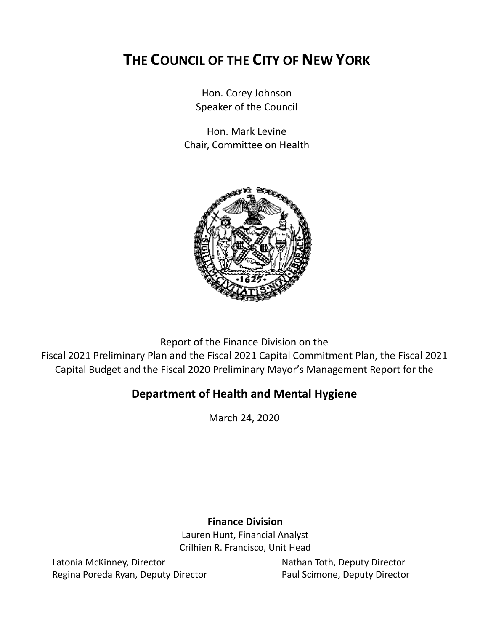# **THE COUNCIL OF THE CITY OF NEW YORK**

Hon. Corey Johnson Speaker of the Council

Hon. Mark Levine Chair, Committee on Health



Report of the Finance Division on the Fiscal 2021 Preliminary Plan and the Fiscal 2021 Capital Commitment Plan, the Fiscal 2021 Capital Budget and the Fiscal 2020 Preliminary Mayor's Management Report for the

# **Department of Health and Mental Hygiene**

March 24, 2020

# **Finance Division**

Lauren Hunt, Financial Analyst Crilhien R. Francisco, Unit Head

Latonia McKinney, Director Nathan Toth, Deputy Director Regina Poreda Ryan, Deputy Director **Paul Scimone, Deputy Director**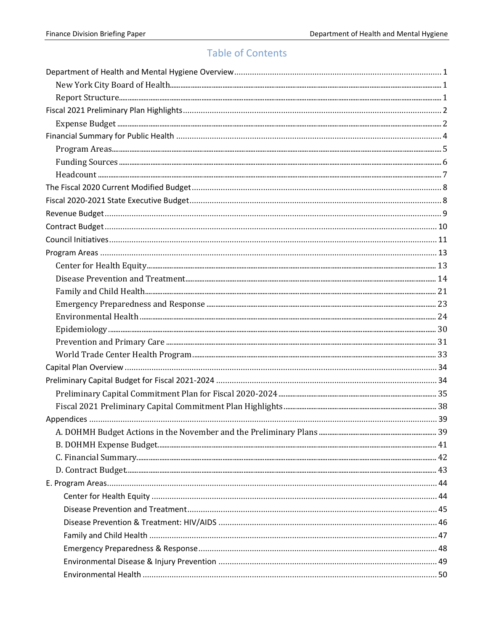# **Table of Contents**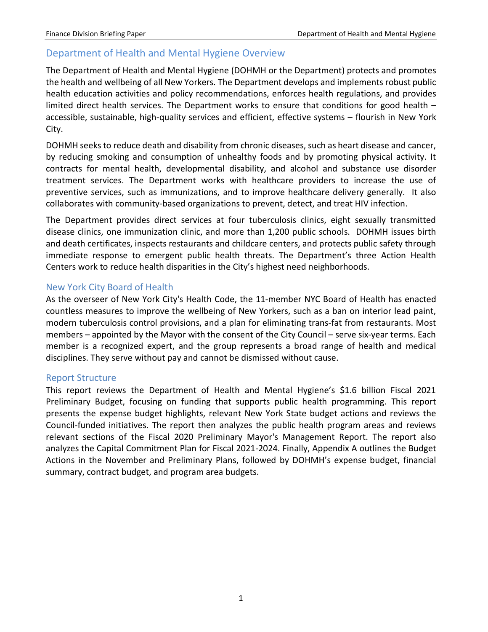## <span id="page-3-0"></span>Department of Health and Mental Hygiene Overview

The Department of Health and Mental Hygiene (DOHMH or the Department) protects and promotes the health and wellbeing of all New Yorkers. The Department develops and implements robust public health education activities and policy recommendations, enforces health regulations, and provides limited direct health services. The Department works to ensure that conditions for good health – accessible, sustainable, high-quality services and efficient, effective systems – flourish in New York City.

DOHMH seeks to reduce death and disability from chronic diseases, such as heart disease and cancer, by reducing smoking and consumption of unhealthy foods and by promoting physical activity. It contracts for mental health, developmental disability, and alcohol and substance use disorder treatment services. The Department works with healthcare providers to increase the use of preventive services, such as immunizations, and to improve healthcare delivery generally. It also collaborates with community-based organizations to prevent, detect, and treat HIV infection.

The Department provides direct services at four tuberculosis clinics, eight sexually transmitted disease clinics, one immunization clinic, and more than 1,200 public schools. DOHMH issues birth and death certificates, inspects restaurants and childcare centers, and protects public safety through immediate response to emergent public health threats. The Department's three Action Health Centers work to reduce health disparities in the City's highest need neighborhoods.

### <span id="page-3-1"></span>New York City Board of Health

As the overseer of New York City's Health Code, the 11-member NYC Board of Health has enacted countless measures to improve the wellbeing of New Yorkers, such as a ban on interior lead paint, modern tuberculosis control provisions, and a plan for eliminating trans-fat from restaurants. Most members – appointed by the Mayor with the consent of the City Council – serve six-year terms. Each member is a recognized expert, and the group represents a broad range of health and medical disciplines. They serve without pay and cannot be dismissed without cause.

### <span id="page-3-2"></span>Report Structure

This report reviews the Department of Health and Mental Hygiene's \$1.6 billion Fiscal 2021 Preliminary Budget, focusing on funding that supports public health programming. This report presents the expense budget highlights, relevant New York State budget actions and reviews the Council-funded initiatives. The report then analyzes the public health program areas and reviews relevant sections of the Fiscal 2020 Preliminary Mayor's Management Report. The report also analyzes the Capital Commitment Plan for Fiscal 2021-2024. Finally, Appendix A outlines the Budget Actions in the November and Preliminary Plans, followed by DOHMH's expense budget, financial summary, contract budget, and program area budgets.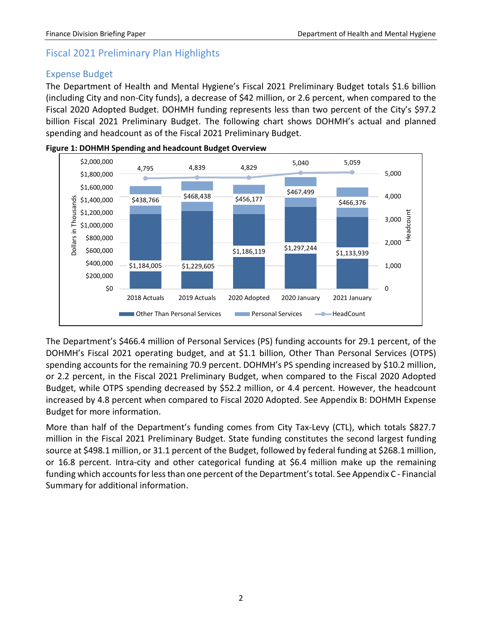# <span id="page-4-0"></span>Fiscal 2021 Preliminary Plan Highlights

## <span id="page-4-1"></span>Expense Budget

The Department of Health and Mental Hygiene's Fiscal 2021 Preliminary Budget totals \$1.6 billion (including City and non-City funds), a decrease of \$42 million, or 2.6 percent, when compared to the Fiscal 2020 Adopted Budget. DOHMH funding represents less than two percent of the City's \$97.2 billion Fiscal 2021 Preliminary Budget. The following chart shows DOHMH's actual and planned spending and headcount as of the Fiscal 2021 Preliminary Budget.





The Department's \$466.4 million of Personal Services (PS) funding accounts for 29.1 percent, of the DOHMH's Fiscal 2021 operating budget, and at \$1.1 billion, Other Than Personal Services (OTPS) spending accounts for the remaining 70.9 percent. DOHMH's PS spending increased by \$10.2 million, or 2.2 percent, in the Fiscal 2021 Preliminary Budget, when compared to the Fiscal 2020 Adopted Budget, while OTPS spending decreased by \$52.2 million, or 4.4 percent. However, the headcount increased by 4.8 percent when compared to Fiscal 2020 Adopted. See Appendix B: DOHMH Expense Budget for more information.

More than half of the Department's funding comes from City Tax-Levy (CTL), which totals \$827.7 million in the Fiscal 2021 Preliminary Budget. State funding constitutes the second largest funding source at \$498.1 million, or 31.1 percent of the Budget, followed by federal funding at \$268.1 million, or 16.8 percent. Intra-city and other categorical funding at \$6.4 million make up the remaining funding which accounts for less than one percent of the Department's total. See Appendix C - Financial Summary for additional information.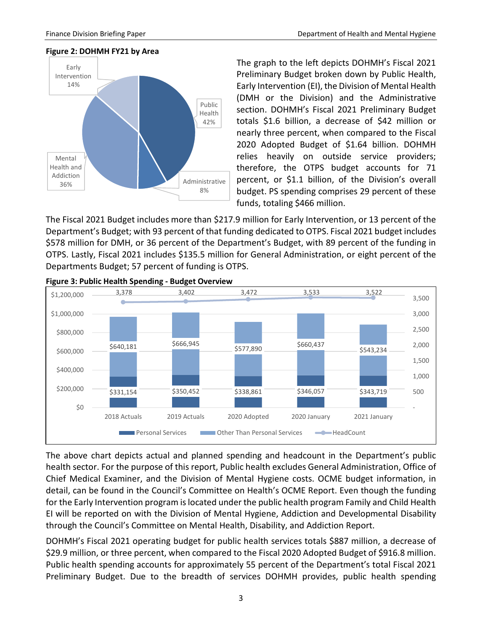#### **Figure 2: DOHMH FY21 by Area**



The graph to the left depicts DOHMH's Fiscal 2021 Preliminary Budget broken down by Public Health, Early Intervention (EI), the Division of Mental Health (DMH or the Division) and the Administrative section. DOHMH's Fiscal 2021 Preliminary Budget totals \$1.6 billion, a decrease of \$42 million or nearly three percent, when compared to the Fiscal 2020 Adopted Budget of \$1.64 billion. DOHMH relies heavily on outside service providers; therefore, the OTPS budget accounts for 71 percent, or \$1.1 billion, of the Division's overall budget. PS spending comprises 29 percent of these funds, totaling \$466 million.

The Fiscal 2021 Budget includes more than \$217.9 million for Early Intervention, or 13 percent of the Department's Budget; with 93 percent of that funding dedicated to OTPS. Fiscal 2021 budget includes \$578 million for DMH, or 36 percent of the Department's Budget, with 89 percent of the funding in OTPS. Lastly, Fiscal 2021 includes \$135.5 million for General Administration, or eight percent of the Departments Budget; 57 percent of funding is OTPS.



**Figure 3: Public Health Spending - Budget Overview** 

The above chart depicts actual and planned spending and headcount in the Department's public health sector. For the purpose of this report, Public health excludes General Administration, Office of Chief Medical Examiner, and the Division of Mental Hygiene costs. OCME budget information, in detail, can be found in the Council's Committee on Health's OCME Report. Even though the funding for the Early Intervention program is located under the public health program Family and Child Health EI will be reported on with the Division of Mental Hygiene, Addiction and Developmental Disability through the Council's Committee on Mental Health, Disability, and Addiction Report.

DOHMH's Fiscal 2021 operating budget for public health services totals \$887 million, a decrease of \$29.9 million, or three percent, when compared to the Fiscal 2020 Adopted Budget of \$916.8 million. Public health spending accounts for approximately 55 percent of the Department's total Fiscal 2021 Preliminary Budget. Due to the breadth of services DOHMH provides, public health spending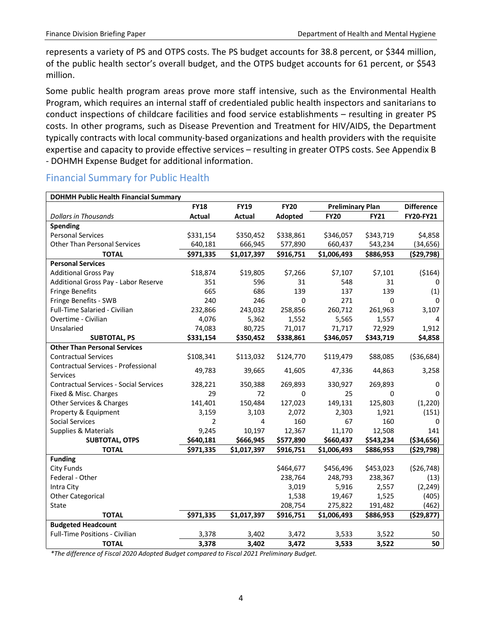represents a variety of PS and OTPS costs. The PS budget accounts for 38.8 percent, or \$344 million, of the public health sector's overall budget, and the OTPS budget accounts for 61 percent, or \$543 million.

Some public health program areas prove more staff intensive, such as the Environmental Health Program, which requires an internal staff of credentialed public health inspectors and sanitarians to conduct inspections of childcare facilities and food service establishments – resulting in greater PS costs. In other programs, such as Disease Prevention and Treatment for HIV/AIDS, the Department typically contracts with local community-based organizations and health providers with the requisite expertise and capacity to provide effective services – resulting in greater OTPS costs. See Appendix B - DOHMH Expense Budget for additional information.

| <b>DOHMH Public Health Financial Summary</b>  |                |               |             |                         |             |                   |
|-----------------------------------------------|----------------|---------------|-------------|-------------------------|-------------|-------------------|
|                                               | <b>FY18</b>    | <b>FY19</b>   | <b>FY20</b> | <b>Preliminary Plan</b> |             | <b>Difference</b> |
| <b>Dollars in Thousands</b>                   | <b>Actual</b>  | <b>Actual</b> | Adopted     | <b>FY20</b>             | <b>FY21</b> | FY20-FY21         |
| Spending                                      |                |               |             |                         |             |                   |
| <b>Personal Services</b>                      | \$331,154      | \$350,452     | \$338,861   | \$346,057               | \$343,719   | \$4,858           |
| <b>Other Than Personal Services</b>           | 640,181        | 666,945       | 577,890     | 660,437                 | 543,234     | (34, 656)         |
| <b>TOTAL</b>                                  | \$971,335      | \$1,017,397   | \$916,751   | \$1,006,493             | \$886,953   | ( \$29,798)       |
| <b>Personal Services</b>                      |                |               |             |                         |             |                   |
| <b>Additional Gross Pay</b>                   | \$18,874       | \$19,805      | \$7,266     | \$7,107                 | \$7,101     | (5164)            |
| Additional Gross Pay - Labor Reserve          | 351            | 596           | 31          | 548                     | 31          | 0                 |
| <b>Fringe Benefits</b>                        | 665            | 686           | 139         | 137                     | 139         | (1)               |
| Fringe Benefits - SWB                         | 240            | 246           | $\Omega$    | 271                     | 0           | $\Omega$          |
| Full-Time Salaried - Civilian                 | 232,866        | 243,032       | 258,856     | 260,712                 | 261,963     | 3,107             |
| Overtime - Civilian                           | 4,076          | 5,362         | 1,552       | 5,565                   | 1,557       | 4                 |
| Unsalaried                                    | 74,083         | 80,725        | 71,017      | 71,717                  | 72,929      | 1,912             |
| <b>SUBTOTAL, PS</b>                           | \$331,154      | \$350,452     | \$338,861   | \$346,057               | \$343,719   | \$4,858           |
| <b>Other Than Personal Services</b>           |                |               |             |                         |             |                   |
| <b>Contractual Services</b>                   | \$108,341      | \$113,032     | \$124,770   | \$119,479               | \$88,085    | ( \$36,684)       |
| Contractual Services - Professional           | 49,783         | 39,665        | 41,605      | 47,336                  | 44,863      | 3,258             |
| Services                                      |                |               |             |                         |             |                   |
| <b>Contractual Services - Social Services</b> | 328,221        | 350,388       | 269,893     | 330,927                 | 269,893     | $\mathbf{0}$      |
| Fixed & Misc. Charges                         | 29             | 72            | 0           | 25                      | 0           | <sup>0</sup>      |
| Other Services & Charges                      | 141,401        | 150,484       | 127,023     | 149,131                 | 125,803     | (1, 220)          |
| Property & Equipment                          | 3,159          | 3,103         | 2,072       | 2,303                   | 1,921       | (151)             |
| <b>Social Services</b>                        | $\overline{2}$ | 4             | 160         | 67                      | 160         | $\Omega$          |
| Supplies & Materials                          | 9,245          | 10,197        | 12,367      | 11,170                  | 12,508      | 141               |
| SUBTOTAL, OTPS                                | \$640,181      | \$666,945     | \$577,890   | \$660,437               | \$543,234   | ( \$34, 656)      |
| <b>TOTAL</b>                                  | \$971,335      | \$1,017,397   | \$916,751   | \$1,006,493             | \$886,953   | (529,798)         |
| <b>Funding</b>                                |                |               |             |                         |             |                   |
| <b>City Funds</b>                             |                |               | \$464,677   | \$456,496               | \$453,023   | (526, 748)        |
| Federal - Other                               |                |               | 238,764     | 248,793                 | 238,367     | (13)              |
| Intra City                                    |                |               | 3,019       | 5,916                   | 2,557       | (2, 249)          |
| <b>Other Categorical</b>                      |                |               | 1,538       | 19,467                  | 1,525       | (405)             |
| State                                         |                |               | 208,754     | 275,822                 | 191,482     | (462)             |
| <b>TOTAL</b>                                  | \$971,335      | \$1,017,397   | \$916,751   | \$1,006,493             | \$886,953   | ( \$29, 877)      |
| <b>Budgeted Headcount</b>                     |                |               |             |                         |             |                   |
| <b>Full-Time Positions - Civilian</b>         | 3,378          | 3,402         | 3,472       | 3,533                   | 3,522       | 50                |
| <b>TOTAL</b>                                  | 3,378          | 3,402         | 3,472       | 3,533                   | 3,522       | 50                |

# <span id="page-6-0"></span>Financial Summary for Public Health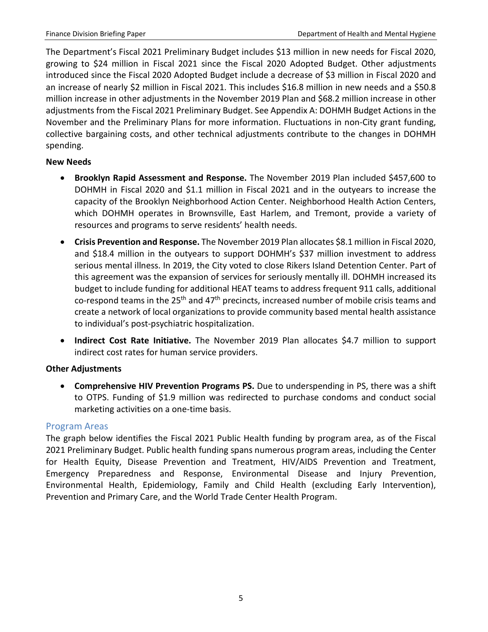The Department's Fiscal 2021 Preliminary Budget includes \$13 million in new needs for Fiscal 2020, growing to \$24 million in Fiscal 2021 since the Fiscal 2020 Adopted Budget. Other adjustments introduced since the Fiscal 2020 Adopted Budget include a decrease of \$3 million in Fiscal 2020 and an increase of nearly \$2 million in Fiscal 2021. This includes \$16.8 million in new needs and a \$50.8 million increase in other adjustments in the November 2019 Plan and \$68.2 million increase in other adjustments from the Fiscal 2021 Preliminary Budget. See Appendix A: DOHMH Budget Actions in the November and the Preliminary Plans for more information. Fluctuations in non-City grant funding, collective bargaining costs, and other technical adjustments contribute to the changes in DOHMH spending.

#### **New Needs**

- **Brooklyn Rapid Assessment and Response.** The November 2019 Plan included \$457,600 to DOHMH in Fiscal 2020 and \$1.1 million in Fiscal 2021 and in the outyears to increase the capacity of the Brooklyn Neighborhood Action Center. Neighborhood Health Action Centers, which DOHMH operates in Brownsville, East Harlem, and Tremont, provide a variety of resources and programs to serve residents' health needs.
- **Crisis Prevention and Response.** The November 2019 Plan allocates \$8.1 million in Fiscal 2020, and \$18.4 million in the outyears to support DOHMH's \$37 million investment to address serious mental illness. In 2019, the City voted to close Rikers Island Detention Center. Part of this agreement was the expansion of services for seriously mentally ill. DOHMH increased its budget to include funding for additional HEAT teams to address frequent 911 calls, additional co-respond teams in the 25<sup>th</sup> and 47<sup>th</sup> precincts, increased number of mobile crisis teams and create a network of local organizations to provide community based mental health assistance to individual's post-psychiatric hospitalization.
- **Indirect Cost Rate Initiative.** The November 2019 Plan allocates \$4.7 million to support indirect cost rates for human service providers.

#### **Other Adjustments**

• **Comprehensive HIV Prevention Programs PS.** Due to underspending in PS, there was a shift to OTPS. Funding of \$1.9 million was redirected to purchase condoms and conduct social marketing activities on a one-time basis.

### <span id="page-7-0"></span>Program Areas

The graph below identifies the Fiscal 2021 Public Health funding by program area, as of the Fiscal 2021 Preliminary Budget. Public health funding spans numerous program areas, including the Center for Health Equity, Disease Prevention and Treatment, HIV/AIDS Prevention and Treatment, Emergency Preparedness and Response, Environmental Disease and Injury Prevention, Environmental Health, Epidemiology, Family and Child Health (excluding Early Intervention), Prevention and Primary Care, and the World Trade Center Health Program.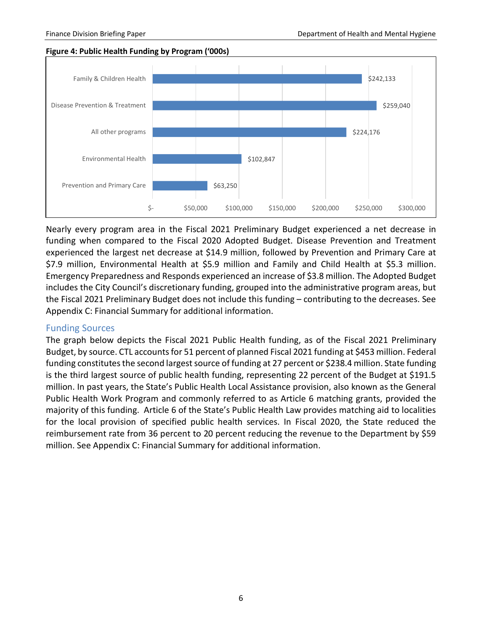**Figure 4: Public Health Funding by Program ('000s)**



Nearly every program area in the Fiscal 2021 Preliminary Budget experienced a net decrease in funding when compared to the Fiscal 2020 Adopted Budget. Disease Prevention and Treatment experienced the largest net decrease at \$14.9 million, followed by Prevention and Primary Care at \$7.9 million, Environmental Health at \$5.9 million and Family and Child Health at \$5.3 million. Emergency Preparedness and Responds experienced an increase of \$3.8 million. The Adopted Budget includes the City Council's discretionary funding, grouped into the administrative program areas, but the Fiscal 2021 Preliminary Budget does not include this funding – contributing to the decreases. See Appendix C: Financial Summary for additional information.

#### <span id="page-8-0"></span>Funding Sources

The graph below depicts the Fiscal 2021 Public Health funding, as of the Fiscal 2021 Preliminary Budget, by source. CTL accounts for 51 percent of planned Fiscal 2021 funding at \$453 million. Federal funding constitutes the second largest source of funding at 27 percent or \$238.4 million. State funding is the third largest source of public health funding, representing 22 percent of the Budget at \$191.5 million. In past years, the State's Public Health Local Assistance provision, also known as the General Public Health Work Program and commonly referred to as Article 6 matching grants, provided the majority of this funding. Article 6 of the State's Public Health Law provides matching aid to localities for the local provision of specified public health services. In Fiscal 2020, the State reduced the reimbursement rate from 36 percent to 20 percent reducing the revenue to the Department by \$59 million. See Appendix C: Financial Summary for additional information.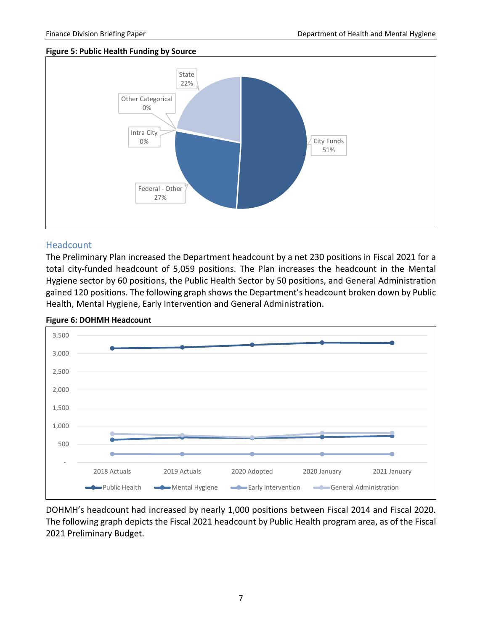#### **Figure 5: Public Health Funding by Source**



#### <span id="page-9-0"></span>**Headcount**

The Preliminary Plan increased the Department headcount by a net 230 positions in Fiscal 2021 for a total city-funded headcount of 5,059 positions. The Plan increases the headcount in the Mental Hygiene sector by 60 positions, the Public Health Sector by 50 positions, and General Administration gained 120 positions. The following graph shows the Department's headcount broken down by Public Health, Mental Hygiene, Early Intervention and General Administration.



**Figure 6: DOHMH Headcount**

DOHMH's headcount had increased by nearly 1,000 positions between Fiscal 2014 and Fiscal 2020. The following graph depicts the Fiscal 2021 headcount by Public Health program area, as of the Fiscal 2021 Preliminary Budget.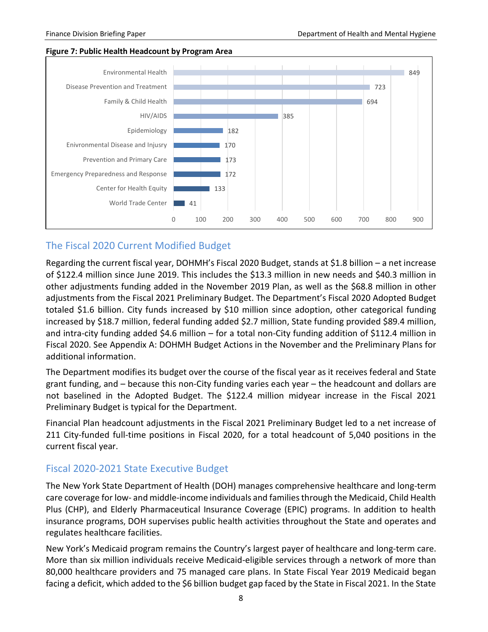#### **Figure 7: Public Health Headcount by Program Area**



# <span id="page-10-0"></span>The Fiscal 2020 Current Modified Budget

Regarding the current fiscal year, DOHMH's Fiscal 2020 Budget, stands at \$1.8 billion – a net increase of \$122.4 million since June 2019. This includes the \$13.3 million in new needs and \$40.3 million in other adjustments funding added in the November 2019 Plan, as well as the \$68.8 million in other adjustments from the Fiscal 2021 Preliminary Budget. The Department's Fiscal 2020 Adopted Budget totaled \$1.6 billion. City funds increased by \$10 million since adoption, other categorical funding increased by \$18.7 million, federal funding added \$2.7 million, State funding provided \$89.4 million, and intra-city funding added \$4.6 million – for a total non-City funding addition of \$112.4 million in Fiscal 2020. See Appendix A: DOHMH Budget Actions in the November and the Preliminary Plans for additional information.

The Department modifies its budget over the course of the fiscal year as it receives federal and State grant funding, and – because this non-City funding varies each year – the headcount and dollars are not baselined in the Adopted Budget. The \$122.4 million midyear increase in the Fiscal 2021 Preliminary Budget is typical for the Department.

Financial Plan headcount adjustments in the Fiscal 2021 Preliminary Budget led to a net increase of 211 City-funded full-time positions in Fiscal 2020, for a total headcount of 5,040 positions in the current fiscal year.

### <span id="page-10-1"></span>Fiscal 2020-2021 State Executive Budget

The New York State Department of Health (DOH) manages comprehensive healthcare and long-term care coverage for low- and middle-income individuals and families through the Medicaid, Child Health Plus (CHP), and Elderly Pharmaceutical Insurance Coverage (EPIC) programs. In addition to health insurance programs, DOH supervises public health activities throughout the State and operates and regulates healthcare facilities.

New York's Medicaid program remains the Country's largest payer of healthcare and long-term care. More than six million individuals receive Medicaid-eligible services through a network of more than 80,000 healthcare providers and 75 managed care plans. In State Fiscal Year 2019 Medicaid began facing a deficit, which added to the \$6 billion budget gap faced by the State in Fiscal 2021. In the State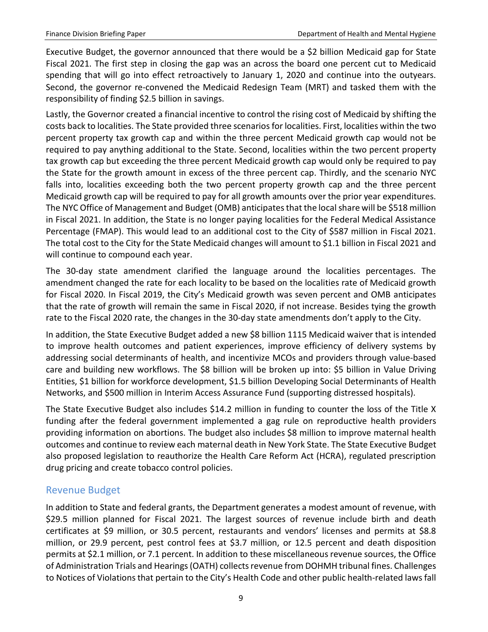Executive Budget, the governor announced that there would be a \$2 billion Medicaid gap for State Fiscal 2021. The first step in closing the gap was an across the board one percent cut to Medicaid spending that will go into effect retroactively to January 1, 2020 and continue into the outyears. Second, the governor re-convened the Medicaid Redesign Team (MRT) and tasked them with the responsibility of finding \$2.5 billion in savings.

Lastly, the Governor created a financial incentive to control the rising cost of Medicaid by shifting the costs back to localities. The State provided three scenarios for localities. First, localities within the two percent property tax growth cap and within the three percent Medicaid growth cap would not be required to pay anything additional to the State. Second, localities within the two percent property tax growth cap but exceeding the three percent Medicaid growth cap would only be required to pay the State for the growth amount in excess of the three percent cap. Thirdly, and the scenario NYC falls into, localities exceeding both the two percent property growth cap and the three percent Medicaid growth cap will be required to pay for all growth amounts over the prior year expenditures. The NYC Office of Management and Budget (OMB) anticipatesthat the local share will be \$518 million in Fiscal 2021. In addition, the State is no longer paying localities for the Federal Medical Assistance Percentage (FMAP). This would lead to an additional cost to the City of \$587 million in Fiscal 2021. The total cost to the City for the State Medicaid changes will amount to \$1.1 billion in Fiscal 2021 and will continue to compound each year.

The 30-day state amendment clarified the language around the localities percentages. The amendment changed the rate for each locality to be based on the localities rate of Medicaid growth for Fiscal 2020. In Fiscal 2019, the City's Medicaid growth was seven percent and OMB anticipates that the rate of growth will remain the same in Fiscal 2020, if not increase. Besides tying the growth rate to the Fiscal 2020 rate, the changes in the 30-day state amendments don't apply to the City.

In addition, the State Executive Budget added a new \$8 billion 1115 Medicaid waiver that is intended to improve health outcomes and patient experiences, improve efficiency of delivery systems by addressing social determinants of health, and incentivize MCOs and providers through value-based care and building new workflows. The \$8 billion will be broken up into: \$5 billion in Value Driving Entities, \$1 billion for workforce development, \$1.5 billion Developing Social Determinants of Health Networks, and \$500 million in Interim Access Assurance Fund (supporting distressed hospitals).

The State Executive Budget also includes \$14.2 million in funding to counter the loss of the Title X funding after the federal government implemented a gag rule on reproductive health providers providing information on abortions. The budget also includes \$8 million to improve maternal health outcomes and continue to review each maternal death in New York State. The State Executive Budget also proposed legislation to reauthorize the Health Care Reform Act (HCRA), regulated prescription drug pricing and create tobacco control policies.

# <span id="page-11-0"></span>Revenue Budget

In addition to State and federal grants, the Department generates a modest amount of revenue, with \$29.5 million planned for Fiscal 2021. The largest sources of revenue include birth and death certificates at \$9 million, or 30.5 percent, restaurants and vendors' licenses and permits at \$8.8 million, or 29.9 percent, pest control fees at \$3.7 million, or 12.5 percent and death disposition permits at \$2.1 million, or 7.1 percent. In addition to these miscellaneous revenue sources, the Office of Administration Trials and Hearings (OATH) collects revenue from DOHMH tribunal fines. Challenges to Notices of Violations that pertain to the City's Health Code and other public health-related laws fall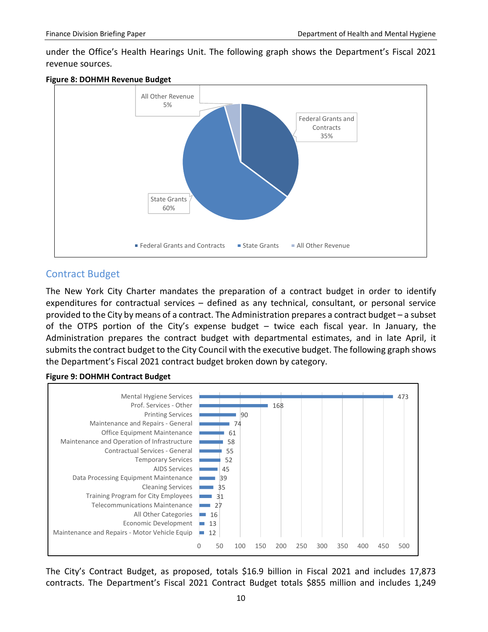under the Office's Health Hearings Unit. The following graph shows the Department's Fiscal 2021 revenue sources.





# <span id="page-12-0"></span>Contract Budget

The New York City Charter mandates the preparation of a contract budget in order to identify expenditures for contractual services – defined as any technical, consultant, or personal service provided to the City by means of a contract. The Administration prepares a contract budget – a subset of the OTPS portion of the City's expense budget – twice each fiscal year. In January, the Administration prepares the contract budget with departmental estimates, and in late April, it submits the contract budget to the City Council with the executive budget. The following graph shows the Department's Fiscal 2021 contract budget broken down by category.

#### **Figure 9: DOHMH Contract Budget**



The City's Contract Budget, as proposed, totals \$16.9 billion in Fiscal 2021 and includes 17,873 contracts. The Department's Fiscal 2021 Contract Budget totals \$855 million and includes 1,249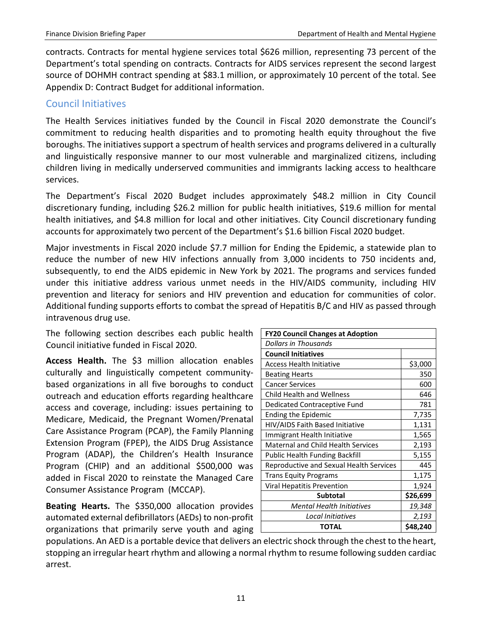contracts. Contracts for mental hygiene services total \$626 million, representing 73 percent of the Department's total spending on contracts. Contracts for AIDS services represent the second largest source of DOHMH contract spending at \$83.1 million, or approximately 10 percent of the total. See Appendix D: Contract Budget for additional information.

# <span id="page-13-0"></span>Council Initiatives

The Health Services initiatives funded by the Council in Fiscal 2020 demonstrate the Council's commitment to reducing health disparities and to promoting health equity throughout the five boroughs. The initiatives support a spectrum of health services and programs delivered in a culturally and linguistically responsive manner to our most vulnerable and marginalized citizens, including children living in medically underserved communities and immigrants lacking access to healthcare services.

The Department's Fiscal 2020 Budget includes approximately \$48.2 million in City Council discretionary funding, including \$26.2 million for public health initiatives, \$19.6 million for mental health initiatives, and \$4.8 million for local and other initiatives. City Council discretionary funding accounts for approximately two percent of the Department's \$1.6 billion Fiscal 2020 budget.

Major investments in Fiscal 2020 include \$7.7 million for Ending the Epidemic, a statewide plan to reduce the number of new HIV infections annually from 3,000 incidents to 750 incidents and, subsequently, to end the AIDS epidemic in New York by 2021. The programs and services funded under this initiative address various unmet needs in the HIV/AIDS community, including HIV prevention and literacy for seniors and HIV prevention and education for communities of color. Additional funding supports efforts to combat the spread of Hepatitis B/C and HIV as passed through intravenous drug use.

The following section describes each public health Council initiative funded in Fiscal 2020.

**Access Health.** The \$3 million allocation enables culturally and linguistically competent communitybased organizations in all five boroughs to conduct outreach and education efforts regarding healthcare access and coverage, including: issues pertaining to Medicare, Medicaid, the Pregnant Women/Prenatal Care Assistance Program (PCAP), the Family Planning Extension Program (FPEP), the AIDS Drug Assistance Program (ADAP), the Children's Health Insurance Program (CHIP) and an additional \$500,000 was added in Fiscal 2020 to reinstate the Managed Care Consumer Assistance Program (MCCAP).

**Beating Hearts.** The \$350,000 allocation provides automated external defibrillators (AEDs) to non-profit organizations that primarily serve youth and aging L

| <b>FY20 Council Changes at Adoption</b> |          |  |  |  |  |  |  |
|-----------------------------------------|----------|--|--|--|--|--|--|
| Dollars in Thousands                    |          |  |  |  |  |  |  |
| <b>Council Initiatives</b>              |          |  |  |  |  |  |  |
| <b>Access Health Initiative</b>         | \$3,000  |  |  |  |  |  |  |
| <b>Beating Hearts</b>                   | 350      |  |  |  |  |  |  |
| <b>Cancer Services</b>                  | 600      |  |  |  |  |  |  |
| <b>Child Health and Wellness</b>        | 646      |  |  |  |  |  |  |
| Dedicated Contraceptive Fund            | 781      |  |  |  |  |  |  |
| Ending the Epidemic                     | 7,735    |  |  |  |  |  |  |
| HIV/AIDS Faith Based Initiative         | 1,131    |  |  |  |  |  |  |
| Immigrant Health Initiative             | 1,565    |  |  |  |  |  |  |
| Maternal and Child Health Services      | 2,193    |  |  |  |  |  |  |
| <b>Public Health Funding Backfill</b>   | 5,155    |  |  |  |  |  |  |
| Reproductive and Sexual Health Services | 445      |  |  |  |  |  |  |
| <b>Trans Equity Programs</b>            | 1,175    |  |  |  |  |  |  |
| Viral Hepatitis Prevention              | 1,924    |  |  |  |  |  |  |
| <b>Subtotal</b>                         | \$26,699 |  |  |  |  |  |  |
| Mental Health Initiatives               | 19,348   |  |  |  |  |  |  |
| Local Initiatives                       | 2,193    |  |  |  |  |  |  |
| <b>TOTAL</b>                            | \$48,240 |  |  |  |  |  |  |

populations. An AED is a portable device that delivers an electric shock through the chest to the heart, stopping an irregular heart rhythm and allowing a normal rhythm to resume following sudden cardiac arrest.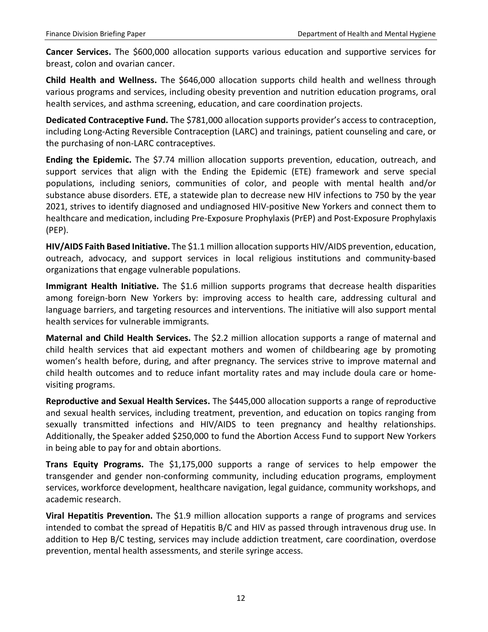**Cancer Services.** The \$600,000 allocation supports various education and supportive services for breast, colon and ovarian cancer.

**Child Health and Wellness.** The \$646,000 allocation supports child health and wellness through various programs and services, including obesity prevention and nutrition education programs, oral health services, and asthma screening, education, and care coordination projects.

**Dedicated Contraceptive Fund.** The \$781,000 allocation supports provider's access to contraception, including Long-Acting Reversible Contraception (LARC) and trainings, patient counseling and care, or the purchasing of non-LARC contraceptives.

**Ending the Epidemic.** The \$7.74 million allocation supports prevention, education, outreach, and support services that align with the Ending the Epidemic (ETE) framework and serve special populations, including seniors, communities of color, and people with mental health and/or substance abuse disorders. ETE, a statewide plan to decrease new HIV infections to 750 by the year 2021, strives to identify diagnosed and undiagnosed HIV-positive New Yorkers and connect them to healthcare and medication, including Pre-Exposure Prophylaxis (PrEP) and Post-Exposure Prophylaxis (PEP).

**HIV/AIDS Faith Based Initiative.** The \$1.1 million allocation supports HIV/AIDS prevention, education, outreach, advocacy, and support services in local religious institutions and community-based organizations that engage vulnerable populations.

**Immigrant Health Initiative.** The \$1.6 million supports programs that decrease health disparities among foreign-born New Yorkers by: improving access to health care, addressing cultural and language barriers, and targeting resources and interventions. The initiative will also support mental health services for vulnerable immigrants.

**Maternal and Child Health Services.** The \$2.2 million allocation supports a range of maternal and child health services that aid expectant mothers and women of childbearing age by promoting women's health before, during, and after pregnancy. The services strive to improve maternal and child health outcomes and to reduce infant mortality rates and may include doula care or homevisiting programs.

**Reproductive and Sexual Health Services.** The \$445,000 allocation supports a range of reproductive and sexual health services, including treatment, prevention, and education on topics ranging from sexually transmitted infections and HIV/AIDS to teen pregnancy and healthy relationships. Additionally, the Speaker added \$250,000 to fund the Abortion Access Fund to support New Yorkers in being able to pay for and obtain abortions.

**Trans Equity Programs.** The \$1,175,000 supports a range of services to help empower the transgender and gender non-conforming community, including education programs, employment services, workforce development, healthcare navigation, legal guidance, community workshops, and academic research.

**Viral Hepatitis Prevention.** The \$1.9 million allocation supports a range of programs and services intended to combat the spread of Hepatitis B/C and HIV as passed through intravenous drug use. In addition to Hep B/C testing, services may include addiction treatment, care coordination, overdose prevention, mental health assessments, and sterile syringe access.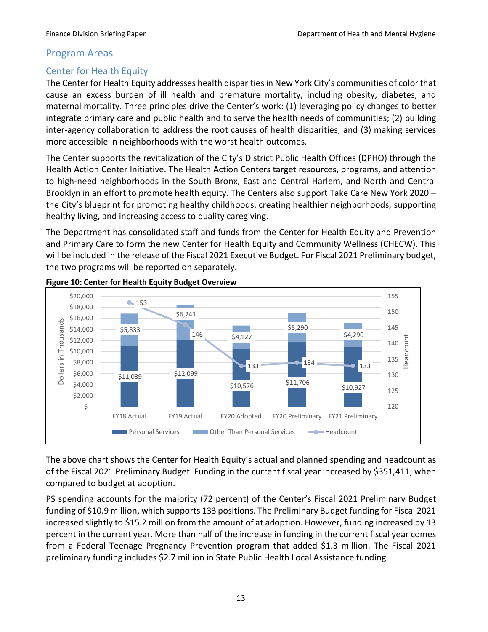#### <span id="page-15-0"></span>Program Areas

## <span id="page-15-1"></span>Center for Health Equity

The Center for Health Equity addresses health disparities in New York City's communities of color that cause an excess burden of ill health and premature mortality, including obesity, diabetes, and maternal mortality. Three principles drive the Center's work: (1) leveraging policy changes to better integrate primary care and public health and to serve the health needs of communities; (2) building inter-agency collaboration to address the root causes of health disparities; and (3) making services more accessible in neighborhoods with the worst health outcomes.

The Center supports the revitalization of the City's District Public Health Offices (DPHO) through the Health Action Center Initiative. The Health Action Centers target resources, programs, and attention to high-need neighborhoods in the South Bronx, East and Central Harlem, and North and Central Brooklyn in an effort to promote health equity. The Centers also support Take Care New York 2020 – the City's blueprint for promoting healthy childhoods, creating healthier neighborhoods, supporting healthy living, and increasing access to quality caregiving.

The Department has consolidated staff and funds from the Center for Health Equity and Prevention and Primary Care to form the new Center for Health Equity and Community Wellness (CHECW). This will be included in the release of the Fiscal 2021 Executive Budget. For Fiscal 2021 Preliminary budget, the two programs will be reported on separately.



#### **Figure 10: Center for Health Equity Budget Overview**

The above chart shows the Center for Health Equity's actual and planned spending and headcount as of the Fiscal 2021 Preliminary Budget. Funding in the current fiscal year increased by \$351,411, when compared to budget at adoption.

PS spending accounts for the majority (72 percent) of the Center's Fiscal 2021 Preliminary Budget funding of \$10.9 million, which supports 133 positions. The Preliminary Budget funding for Fiscal 2021 increased slightly to \$15.2 million from the amount of at adoption. However, funding increased by 13 percent in the current year. More than half of the increase in funding in the current fiscal year comes from a Federal Teenage Pregnancy Prevention program that added \$1.3 million. The Fiscal 2021 preliminary funding includes \$2.7 million in State Public Health Local Assistance funding.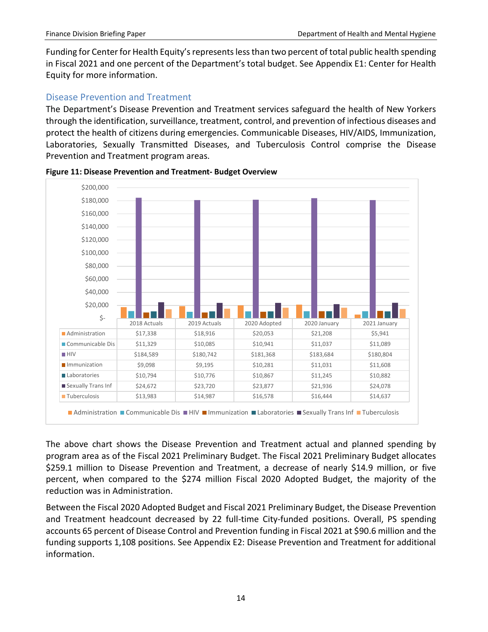Funding for Center for Health Equity's represents less than two percent of total public health spending in Fiscal 2021 and one percent of the Department's total budget. See Appendix E1: Center for Health Equity for more information.

### <span id="page-16-0"></span>Disease Prevention and Treatment

The Department's Disease Prevention and Treatment services safeguard the health of New Yorkers through the identification, surveillance, treatment, control, and prevention of infectious diseases and protect the health of citizens during emergencies. Communicable Diseases, HIV/AIDS, Immunization, Laboratories, Sexually Transmitted Diseases, and Tuberculosis Control comprise the Disease Prevention and Treatment program areas.



**Figure 11: Disease Prevention and Treatment- Budget Overview**

The above chart shows the Disease Prevention and Treatment actual and planned spending by program area as of the Fiscal 2021 Preliminary Budget. The Fiscal 2021 Preliminary Budget allocates \$259.1 million to Disease Prevention and Treatment, a decrease of nearly \$14.9 million, or five percent, when compared to the \$274 million Fiscal 2020 Adopted Budget, the majority of the reduction was in Administration.

Between the Fiscal 2020 Adopted Budget and Fiscal 2021 Preliminary Budget, the Disease Prevention and Treatment headcount decreased by 22 full-time City-funded positions. Overall, PS spending accounts 65 percent of Disease Control and Prevention funding in Fiscal 2021 at \$90.6 million and the funding supports 1,108 positions. See Appendix E2: Disease Prevention and Treatment for additional information.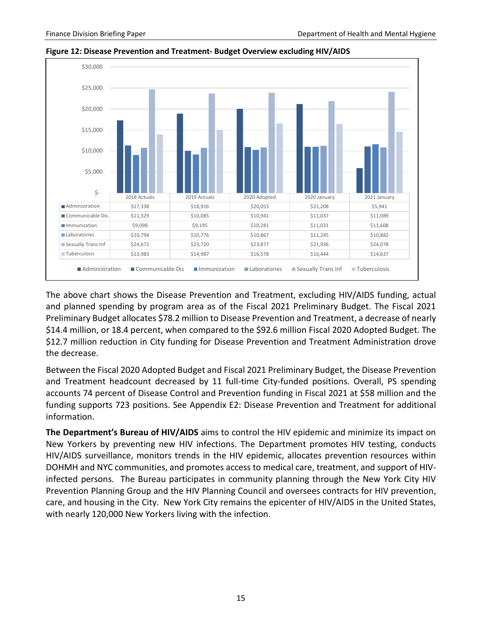

**Figure 12: Disease Prevention and Treatment- Budget Overview excluding HIV/AIDS**

The above chart shows the Disease Prevention and Treatment, excluding HIV/AIDS funding, actual and planned spending by program area as of the Fiscal 2021 Preliminary Budget. The Fiscal 2021 Preliminary Budget allocates \$78.2 million to Disease Prevention and Treatment, a decrease of nearly \$14.4 million, or 18.4 percent, when compared to the \$92.6 million Fiscal 2020 Adopted Budget. The \$12.7 million reduction in City funding for Disease Prevention and Treatment Administration drove the decrease.

Between the Fiscal 2020 Adopted Budget and Fiscal 2021 Preliminary Budget, the Disease Prevention and Treatment headcount decreased by 11 full-time City-funded positions. Overall, PS spending accounts 74 percent of Disease Control and Prevention funding in Fiscal 2021 at \$58 million and the funding supports 723 positions. See Appendix E2: Disease Prevention and Treatment for additional information.

**The Department's Bureau of HIV/AIDS** aims to control the HIV epidemic and minimize its impact on New Yorkers by preventing new HIV infections. The Department promotes HIV testing, conducts HIV/AIDS surveillance, monitors trends in the HIV epidemic, allocates prevention resources within DOHMH and NYC communities, and promotes access to medical care, treatment, and support of HIVinfected persons. The Bureau participates in community planning through the New York City HIV Prevention Planning Group and the HIV Planning Council and oversees contracts for HIV prevention, care, and housing in the City. New York City remains the epicenter of HIV/AIDS in the United States, with nearly 120,000 New Yorkers living with the infection.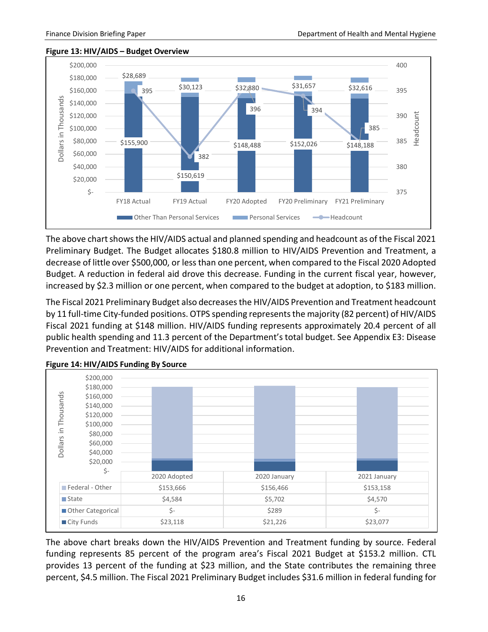#### **Figure 13: HIV/AIDS – Budget Overview**



The above chart shows the HIV/AIDS actual and planned spending and headcount as of the Fiscal 2021 Preliminary Budget. The Budget allocates \$180.8 million to HIV/AIDS Prevention and Treatment, a decrease of little over \$500,000, or less than one percent, when compared to the Fiscal 2020 Adopted Budget. A reduction in federal aid drove this decrease. Funding in the current fiscal year, however, increased by \$2.3 million or one percent, when compared to the budget at adoption, to \$183 million.

The Fiscal 2021 Preliminary Budget also decreases the HIV/AIDS Prevention and Treatment headcount by 11 full-time City-funded positions. OTPS spending represents the majority (82 percent) of HIV/AIDS Fiscal 2021 funding at \$148 million. HIV/AIDS funding represents approximately 20.4 percent of all public health spending and 11.3 percent of the Department's total budget. See Appendix E3: Disease Prevention and Treatment: HIV/AIDS for additional information.



**Figure 14: HIV/AIDS Funding By Source**

The above chart breaks down the HIV/AIDS Prevention and Treatment funding by source. Federal funding represents 85 percent of the program area's Fiscal 2021 Budget at \$153.2 million. CTL provides 13 percent of the funding at \$23 million, and the State contributes the remaining three percent, \$4.5 million. The Fiscal 2021 Preliminary Budget includes \$31.6 million in federal funding for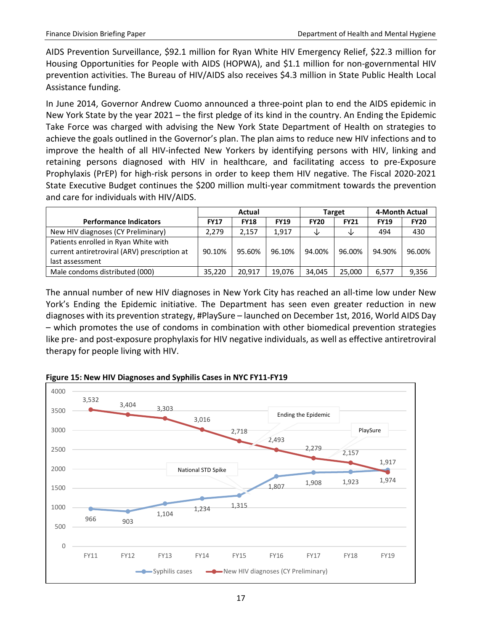AIDS Prevention Surveillance, \$92.1 million for Ryan White HIV Emergency Relief, \$22.3 million for Housing Opportunities for People with AIDS (HOPWA), and \$1.1 million for non-governmental HIV prevention activities. The Bureau of HIV/AIDS also receives \$4.3 million in State Public Health Local Assistance funding.

In June 2014, Governor Andrew Cuomo announced a three-point plan to end the AIDS epidemic in New York State by the year 2021 – the first pledge of its kind in the country. An Ending the Epidemic Take Force was charged with advising the New York State Department of Health on strategies to achieve the goals outlined in the Governor's plan. The plan aims to reduce new HIV infections and to improve the health of all HIV-infected New Yorkers by identifying persons with HIV, linking and retaining persons diagnosed with HIV in healthcare, and facilitating access to pre-Exposure Prophylaxis (PrEP) for high-risk persons in order to keep them HIV negative. The Fiscal 2020-2021 State Executive Budget continues the \$200 million multi-year commitment towards the prevention and care for individuals with HIV/AIDS.

|                                                                                                         |             | Actual      |             |             | Target      | 4-Month Actual |             |
|---------------------------------------------------------------------------------------------------------|-------------|-------------|-------------|-------------|-------------|----------------|-------------|
| <b>Performance Indicators</b>                                                                           | <b>FY17</b> | <b>FY18</b> | <b>FY19</b> | <b>FY20</b> | <b>FY21</b> | <b>FY19</b>    | <b>FY20</b> |
| New HIV diagnoses (CY Preliminary)                                                                      | 2,279       | 2.157       | 1.917       | ◡           | ◡           | 494            | 430         |
| Patients enrolled in Ryan White with<br>current antiretroviral (ARV) prescription at<br>last assessment | 90.10%      | 95.60%      | 96.10%      | 94.00%      | 96.00%      | 94.90%         | 96.00%      |
| Male condoms distributed (000)                                                                          | 35.220      | 20.917      | 19.076      | 34.045      | 25.000      | 6,577          | 9,356       |

The annual number of new HIV diagnoses in New York City has reached an all-time low under New York's Ending the Epidemic initiative. The Department has seen even greater reduction in new diagnoses with its prevention strategy, #PlaySure – launched on December 1st, 2016, World AIDS Day – which promotes the use of condoms in combination with other biomedical prevention strategies like pre- and post-exposure prophylaxis for HIV negative individuals, as well as effective antiretroviral therapy for people living with HIV.



**Figure 15: New HIV Diagnoses and Syphilis Cases in NYC FY11-FY19**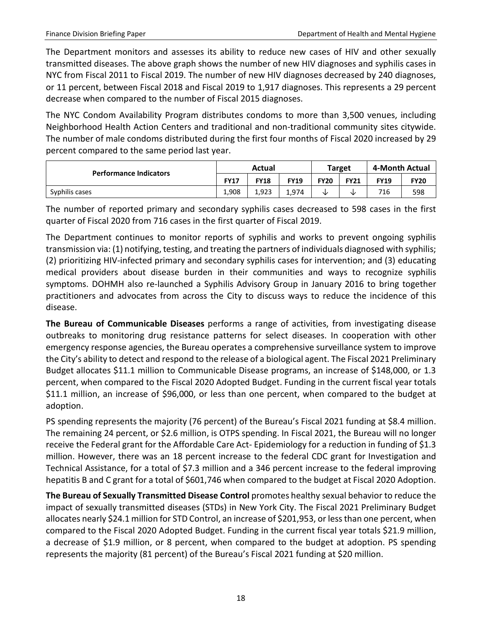The Department monitors and assesses its ability to reduce new cases of HIV and other sexually transmitted diseases. The above graph shows the number of new HIV diagnoses and syphilis cases in NYC from Fiscal 2011 to Fiscal 2019. The number of new HIV diagnoses decreased by 240 diagnoses, or 11 percent, between Fiscal 2018 and Fiscal 2019 to 1,917 diagnoses. This represents a 29 percent decrease when compared to the number of Fiscal 2015 diagnoses.

The NYC Condom Availability Program distributes condoms to more than 3,500 venues, including Neighborhood Health Action Centers and traditional and non-traditional community sites citywide. The number of male condoms distributed during the first four months of Fiscal 2020 increased by 29 percent compared to the same period last year.

|                               |       | Actual |             |             | <b>Target</b> | 4-Month Actual |             |  |
|-------------------------------|-------|--------|-------------|-------------|---------------|----------------|-------------|--|
| <b>Performance Indicators</b> |       | FY18   | <b>FY19</b> | <b>FY20</b> | <b>FY21</b>   | <b>FY19</b>    | <b>FY20</b> |  |
| Syphilis cases                | 1.908 | 1.923  | ـ 974.      | ◡           | NZ.           | 716            | 598         |  |

The number of reported primary and secondary syphilis cases decreased to 598 cases in the first quarter of Fiscal 2020 from 716 cases in the first quarter of Fiscal 2019.

The Department continues to monitor reports of syphilis and works to prevent ongoing syphilis transmission via: (1) notifying, testing, and treating the partners of individuals diagnosed with syphilis; (2) prioritizing HIV-infected primary and secondary syphilis cases for intervention; and (3) educating medical providers about disease burden in their communities and ways to recognize syphilis symptoms. DOHMH also re-launched a Syphilis Advisory Group in January 2016 to bring together practitioners and advocates from across the City to discuss ways to reduce the incidence of this disease.

**The Bureau of Communicable Diseases** performs a range of activities, from investigating disease outbreaks to monitoring drug resistance patterns for select diseases. In cooperation with other emergency response agencies, the Bureau operates a comprehensive surveillance system to improve the City's ability to detect and respond to the release of a biological agent. The Fiscal 2021 Preliminary Budget allocates \$11.1 million to Communicable Disease programs, an increase of \$148,000, or 1.3 percent, when compared to the Fiscal 2020 Adopted Budget. Funding in the current fiscal year totals \$11.1 million, an increase of \$96,000, or less than one percent, when compared to the budget at adoption.

PS spending represents the majority (76 percent) of the Bureau's Fiscal 2021 funding at \$8.4 million. The remaining 24 percent, or \$2.6 million, is OTPS spending. In Fiscal 2021, the Bureau will no longer receive the Federal grant for the Affordable Care Act- Epidemiology for a reduction in funding of \$1.3 million. However, there was an 18 percent increase to the federal CDC grant for Investigation and Technical Assistance, for a total of \$7.3 million and a 346 percent increase to the federal improving hepatitis B and C grant for a total of \$601,746 when compared to the budget at Fiscal 2020 Adoption.

**The Bureau of Sexually Transmitted Disease Control** promotes healthy sexual behavior to reduce the impact of sexually transmitted diseases (STDs) in New York City. The Fiscal 2021 Preliminary Budget allocates nearly \$24.1 million for STD Control, an increase of \$201,953, or less than one percent, when compared to the Fiscal 2020 Adopted Budget. Funding in the current fiscal year totals \$21.9 million, a decrease of \$1.9 million, or 8 percent, when compared to the budget at adoption. PS spending represents the majority (81 percent) of the Bureau's Fiscal 2021 funding at \$20 million.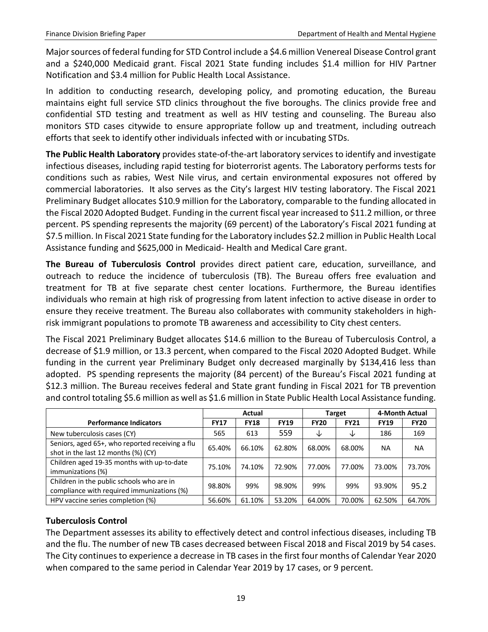Major sources of federal funding for STD Control include a \$4.6 million Venereal Disease Control grant and a \$240,000 Medicaid grant. Fiscal 2021 State funding includes \$1.4 million for HIV Partner Notification and \$3.4 million for Public Health Local Assistance.

In addition to conducting research, developing policy, and promoting education, the Bureau maintains eight full service STD clinics throughout the five boroughs. The clinics provide free and confidential STD testing and treatment as well as HIV testing and counseling. The Bureau also monitors STD cases citywide to ensure appropriate follow up and treatment, including outreach efforts that seek to identify other individuals infected with or incubating STDs.

**The Public Health Laboratory** provides state-of-the-art laboratory services to identify and investigate infectious diseases, including rapid testing for bioterrorist agents. The Laboratory performs tests for conditions such as rabies, West Nile virus, and certain environmental exposures not offered by commercial laboratories. It also serves as the City's largest HIV testing laboratory. The Fiscal 2021 Preliminary Budget allocates \$10.9 million for the Laboratory, comparable to the funding allocated in the Fiscal 2020 Adopted Budget. Funding in the current fiscal year increased to \$11.2 million, or three percent. PS spending represents the majority (69 percent) of the Laboratory's Fiscal 2021 funding at \$7.5 million. In Fiscal 2021 State funding for the Laboratory includes \$2.2 million in Public Health Local Assistance funding and \$625,000 in Medicaid- Health and Medical Care grant.

**The Bureau of Tuberculosis Control** provides direct patient care, education, surveillance, and outreach to reduce the incidence of tuberculosis (TB). The Bureau offers free evaluation and treatment for TB at five separate chest center locations. Furthermore, the Bureau identifies individuals who remain at high risk of progressing from latent infection to active disease in order to ensure they receive treatment. The Bureau also collaborates with community stakeholders in highrisk immigrant populations to promote TB awareness and accessibility to City chest centers.

The Fiscal 2021 Preliminary Budget allocates \$14.6 million to the Bureau of Tuberculosis Control, a decrease of \$1.9 million, or 13.3 percent, when compared to the Fiscal 2020 Adopted Budget. While funding in the current year Preliminary Budget only decreased marginally by \$134,416 less than adopted. PS spending represents the majority (84 percent) of the Bureau's Fiscal 2021 funding at \$12.3 million. The Bureau receives federal and State grant funding in Fiscal 2021 for TB prevention and control totaling \$5.6 million as well as \$1.6 million in State Public Health Local Assistance funding.

|                                                                                         |             | Actual      |             |             | Target      |             | 4-Month Actual |
|-----------------------------------------------------------------------------------------|-------------|-------------|-------------|-------------|-------------|-------------|----------------|
| <b>Performance Indicators</b>                                                           | <b>FY17</b> | <b>FY18</b> | <b>FY19</b> | <b>FY20</b> | <b>FY21</b> | <b>FY19</b> | <b>FY20</b>    |
| New tuberculosis cases (CY)                                                             | 565         | 613         | 559         | ◡           | ◡           | 186         | 169            |
| Seniors, aged 65+, who reported receiving a flu<br>shot in the last 12 months (%) (CY)  | 65.40%      | 66.10%      | 62.80%      | 68.00%      | 68.00%      | NА          | <b>NA</b>      |
| Children aged 19-35 months with up-to-date<br>immunizations (%)                         | 75.10%      | 74.10%      | 72.90%      | 77.00%      | 77.00%      | 73.00%      | 73.70%         |
| Children in the public schools who are in<br>compliance with required immunizations (%) | 98.80%      | 99%         | 98.90%      | 99%         | 99%         | 93.90%      | 95.2           |
| HPV vaccine series completion (%)                                                       | 56.60%      | 61.10%      | 53.20%      | 64.00%      | 70.00%      | 62.50%      | 64.70%         |

### **Tuberculosis Control**

The Department assesses its ability to effectively detect and control infectious diseases, including TB and the flu. The number of new TB cases decreased between Fiscal 2018 and Fiscal 2019 by 54 cases. The City continues to experience a decrease in TB cases in the first four months of Calendar Year 2020 when compared to the same period in Calendar Year 2019 by 17 cases, or 9 percent.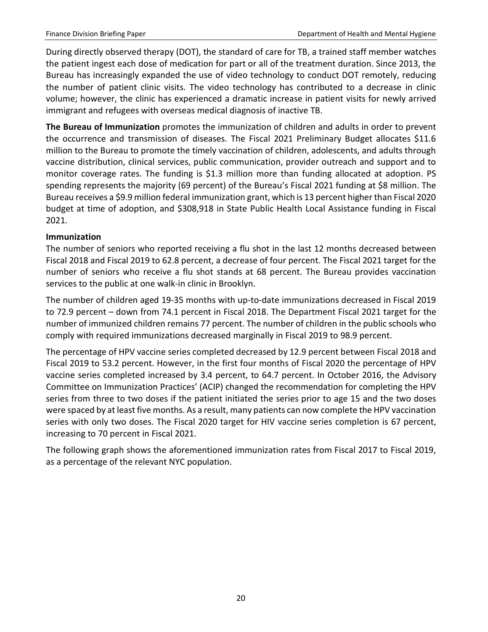During directly observed therapy (DOT), the standard of care for TB, a trained staff member watches the patient ingest each dose of medication for part or all of the treatment duration. Since 2013, the Bureau has increasingly expanded the use of video technology to conduct DOT remotely, reducing the number of patient clinic visits. The video technology has contributed to a decrease in clinic volume; however, the clinic has experienced a dramatic increase in patient visits for newly arrived immigrant and refugees with overseas medical diagnosis of inactive TB.

**The Bureau of Immunization** promotes the immunization of children and adults in order to prevent the occurrence and transmission of diseases. The Fiscal 2021 Preliminary Budget allocates \$11.6 million to the Bureau to promote the timely vaccination of children, adolescents, and adults through vaccine distribution, clinical services, public communication, provider outreach and support and to monitor coverage rates. The funding is \$1.3 million more than funding allocated at adoption. PS spending represents the majority (69 percent) of the Bureau's Fiscal 2021 funding at \$8 million. The Bureau receives a \$9.9 million federal immunization grant, which is 13 percent higher than Fiscal 2020 budget at time of adoption, and \$308,918 in State Public Health Local Assistance funding in Fiscal 2021.

#### **Immunization**

The number of seniors who reported receiving a flu shot in the last 12 months decreased between Fiscal 2018 and Fiscal 2019 to 62.8 percent, a decrease of four percent. The Fiscal 2021 target for the number of seniors who receive a flu shot stands at 68 percent. The Bureau provides vaccination services to the public at one walk-in clinic in Brooklyn.

The number of children aged 19-35 months with up-to-date immunizations decreased in Fiscal 2019 to 72.9 percent – down from 74.1 percent in Fiscal 2018. The Department Fiscal 2021 target for the number of immunized children remains 77 percent. The number of children in the public schools who comply with required immunizations decreased marginally in Fiscal 2019 to 98.9 percent.

The percentage of HPV vaccine series completed decreased by 12.9 percent between Fiscal 2018 and Fiscal 2019 to 53.2 percent. However, in the first four months of Fiscal 2020 the percentage of HPV vaccine series completed increased by 3.4 percent, to 64.7 percent. In October 2016, the Advisory Committee on Immunization Practices' (ACIP) changed the recommendation for completing the HPV series from three to two doses if the patient initiated the series prior to age 15 and the two doses were spaced by at least five months. As a result, many patients can now complete the HPV vaccination series with only two doses. The Fiscal 2020 target for HIV vaccine series completion is 67 percent, increasing to 70 percent in Fiscal 2021.

The following graph shows the aforementioned immunization rates from Fiscal 2017 to Fiscal 2019, as a percentage of the relevant NYC population.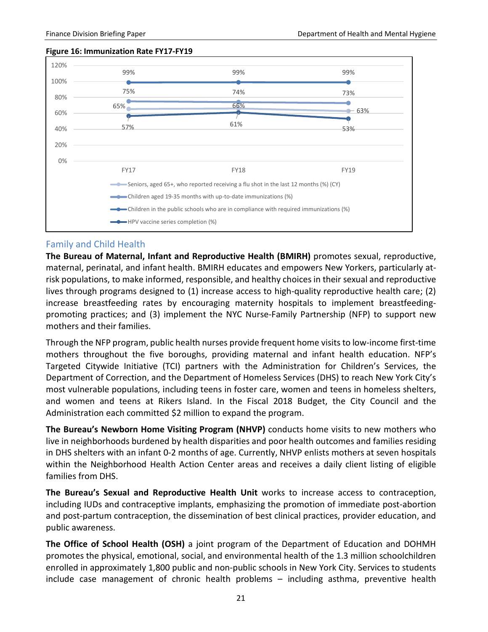#### **Figure 16: Immunization Rate FY17-FY19**



#### <span id="page-23-0"></span>Family and Child Health

**The Bureau of Maternal, Infant and Reproductive Health (BMIRH)** promotes sexual, reproductive, maternal, perinatal, and infant health. BMIRH educates and empowers New Yorkers, particularly atrisk populations, to make informed, responsible, and healthy choices in their sexual and reproductive lives through programs designed to (1) increase access to high-quality reproductive health care; (2) increase breastfeeding rates by encouraging maternity hospitals to implement breastfeedingpromoting practices; and (3) implement the NYC Nurse-Family Partnership (NFP) to support new mothers and their families.

Through the NFP program, public health nurses provide frequent home visits to low-income first-time mothers throughout the five boroughs, providing maternal and infant health education. NFP's Targeted Citywide Initiative (TCI) partners with the Administration for Children's Services, the Department of Correction, and the Department of Homeless Services (DHS) to reach New York City's most vulnerable populations, including teens in foster care, women and teens in homeless shelters, and women and teens at Rikers Island. In the Fiscal 2018 Budget, the City Council and the Administration each committed \$2 million to expand the program.

**The Bureau's Newborn Home Visiting Program (NHVP)** conducts home visits to new mothers who live in neighborhoods burdened by health disparities and poor health outcomes and families residing in DHS shelters with an infant 0-2 months of age. Currently, NHVP enlists mothers at seven hospitals within the Neighborhood Health Action Center areas and receives a daily client listing of eligible families from DHS.

**The Bureau's Sexual and Reproductive Health Unit** works to increase access to contraception, including IUDs and contraceptive implants, emphasizing the promotion of immediate post-abortion and post-partum contraception, the dissemination of best clinical practices, provider education, and public awareness.

**The Office of School Health (OSH)** a joint program of the Department of Education and DOHMH promotes the physical, emotional, social, and environmental health of the 1.3 million schoolchildren enrolled in approximately 1,800 public and non-public schools in New York City. Services to students include case management of chronic health problems – including asthma, preventive health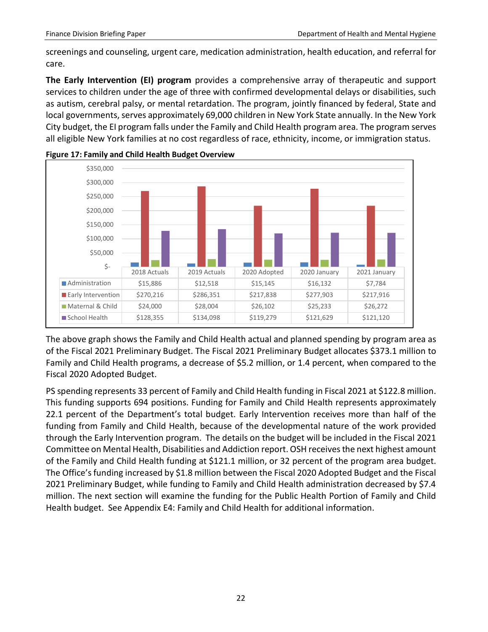screenings and counseling, urgent care, medication administration, health education, and referral for care.

**The Early Intervention (EI) program** provides a comprehensive array of therapeutic and support services to children under the age of three with confirmed developmental delays or disabilities, such as autism, cerebral palsy, or mental retardation. The program, jointly financed by federal, State and local governments, serves approximately 69,000 children in New York State annually. In the New York City budget, the EI program falls under the Family and Child Health program area. The program serves all eligible New York families at no cost regardless of race, ethnicity, income, or immigration status.





The above graph shows the Family and Child Health actual and planned spending by program area as of the Fiscal 2021 Preliminary Budget. The Fiscal 2021 Preliminary Budget allocates \$373.1 million to Family and Child Health programs, a decrease of \$5.2 million, or 1.4 percent, when compared to the Fiscal 2020 Adopted Budget.

PS spending represents 33 percent of Family and Child Health funding in Fiscal 2021 at \$122.8 million. This funding supports 694 positions. Funding for Family and Child Health represents approximately 22.1 percent of the Department's total budget. Early Intervention receives more than half of the funding from Family and Child Health, because of the developmental nature of the work provided through the Early Intervention program. The details on the budget will be included in the Fiscal 2021 Committee on Mental Health, Disabilities and Addiction report. OSH receives the next highest amount of the Family and Child Health funding at \$121.1 million, or 32 percent of the program area budget. The Office's funding increased by \$1.8 million between the Fiscal 2020 Adopted Budget and the Fiscal 2021 Preliminary Budget, while funding to Family and Child Health administration decreased by \$7.4 million. The next section will examine the funding for the Public Health Portion of Family and Child Health budget. See Appendix E4: Family and Child Health for additional information.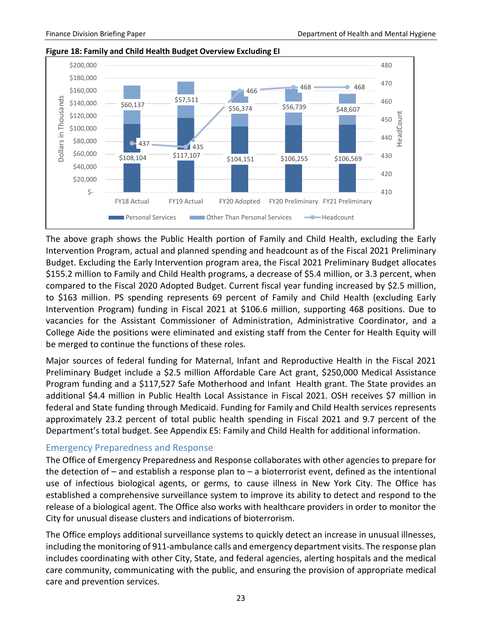

#### **Figure 18: Family and Child Health Budget Overview Excluding EI**

The above graph shows the Public Health portion of Family and Child Health, excluding the Early Intervention Program, actual and planned spending and headcount as of the Fiscal 2021 Preliminary Budget. Excluding the Early Intervention program area, the Fiscal 2021 Preliminary Budget allocates \$155.2 million to Family and Child Health programs, a decrease of \$5.4 million, or 3.3 percent, when compared to the Fiscal 2020 Adopted Budget. Current fiscal year funding increased by \$2.5 million, to \$163 million. PS spending represents 69 percent of Family and Child Health (excluding Early Intervention Program) funding in Fiscal 2021 at \$106.6 million, supporting 468 positions. Due to vacancies for the Assistant Commissioner of Administration, Administrative Coordinator, and a College Aide the positions were eliminated and existing staff from the Center for Health Equity will be merged to continue the functions of these roles.

Major sources of federal funding for Maternal, Infant and Reproductive Health in the Fiscal 2021 Preliminary Budget include a \$2.5 million Affordable Care Act grant, \$250,000 Medical Assistance Program funding and a \$117,527 Safe Motherhood and Infant Health grant. The State provides an additional \$4.4 million in Public Health Local Assistance in Fiscal 2021. OSH receives \$7 million in federal and State funding through Medicaid. Funding for Family and Child Health services represents approximately 23.2 percent of total public health spending in Fiscal 2021 and 9.7 percent of the Department's total budget. See Appendix E5: Family and Child Health for additional information.

#### <span id="page-25-0"></span>Emergency Preparedness and Response

The Office of Emergency Preparedness and Response collaborates with other agencies to prepare for the detection of  $-$  and establish a response plan to  $-$  a bioterrorist event, defined as the intentional use of infectious biological agents, or germs, to cause illness in New York City. The Office has established a comprehensive surveillance system to improve its ability to detect and respond to the release of a biological agent. The Office also works with healthcare providers in order to monitor the City for unusual disease clusters and indications of bioterrorism.

The Office employs additional surveillance systems to quickly detect an increase in unusual illnesses, including the monitoring of 911-ambulance calls and emergency department visits. The response plan includes coordinating with other City, State, and federal agencies, alerting hospitals and the medical care community, communicating with the public, and ensuring the provision of appropriate medical care and prevention services.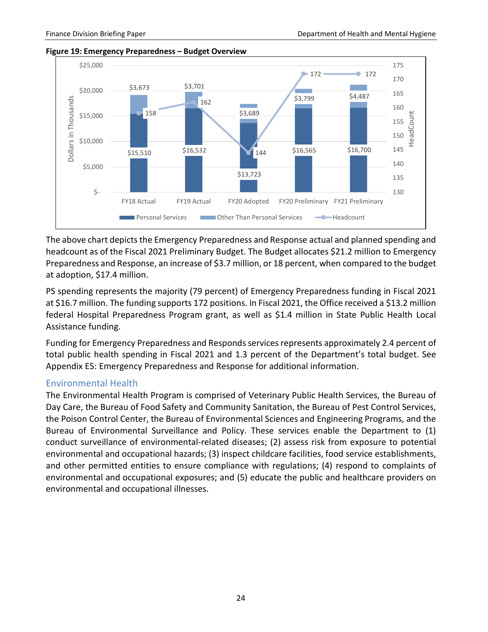

#### **Figure 19: Emergency Preparedness – Budget Overview**

The above chart depicts the Emergency Preparedness and Response actual and planned spending and headcount as of the Fiscal 2021 Preliminary Budget. The Budget allocates \$21.2 million to Emergency Preparedness and Response, an increase of \$3.7 million, or 18 percent, when compared to the budget at adoption, \$17.4 million.

PS spending represents the majority (79 percent) of Emergency Preparedness funding in Fiscal 2021 at \$16.7 million. The funding supports 172 positions. In Fiscal 2021, the Office received a \$13.2 million federal Hospital Preparedness Program grant, as well as \$1.4 million in State Public Health Local Assistance funding.

Funding for Emergency Preparedness and Responds services represents approximately 2.4 percent of total public health spending in Fiscal 2021 and 1.3 percent of the Department's total budget. See Appendix E5: Emergency Preparedness and Response for additional information.

#### <span id="page-26-0"></span>Environmental Health

The Environmental Health Program is comprised of Veterinary Public Health Services, the Bureau of Day Care, the Bureau of Food Safety and Community Sanitation, the Bureau of Pest Control Services, the Poison Control Center, the Bureau of Environmental Sciences and Engineering Programs, and the Bureau of Environmental Surveillance and Policy. These services enable the Department to (1) conduct surveillance of environmental-related diseases; (2) assess risk from exposure to potential environmental and occupational hazards; (3) inspect childcare facilities, food service establishments, and other permitted entities to ensure compliance with regulations; (4) respond to complaints of environmental and occupational exposures; and (5) educate the public and healthcare providers on environmental and occupational illnesses.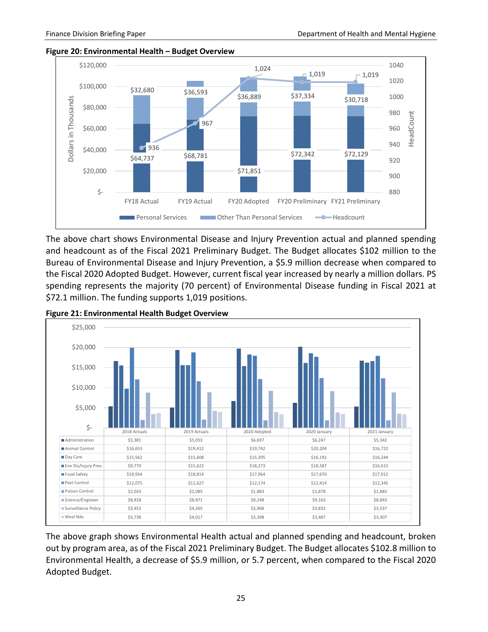



The above chart shows Environmental Disease and Injury Prevention actual and planned spending and headcount as of the Fiscal 2021 Preliminary Budget. The Budget allocates \$102 million to the Bureau of Environmental Disease and Injury Prevention, a \$5.9 million decrease when compared to the Fiscal 2020 Adopted Budget. However, current fiscal year increased by nearly a million dollars. PS spending represents the majority (70 percent) of Environmental Disease funding in Fiscal 2021 at \$72.1 million. The funding supports 1,019 positions.



**Figure 21: Environmental Health Budget Overview**

The above graph shows Environmental Health actual and planned spending and headcount, broken out by program area, as of the Fiscal 2021 Preliminary Budget. The Budget allocates \$102.8 million to Environmental Health, a decrease of \$5.9 million, or 5.7 percent, when compared to the Fiscal 2020 Adopted Budget.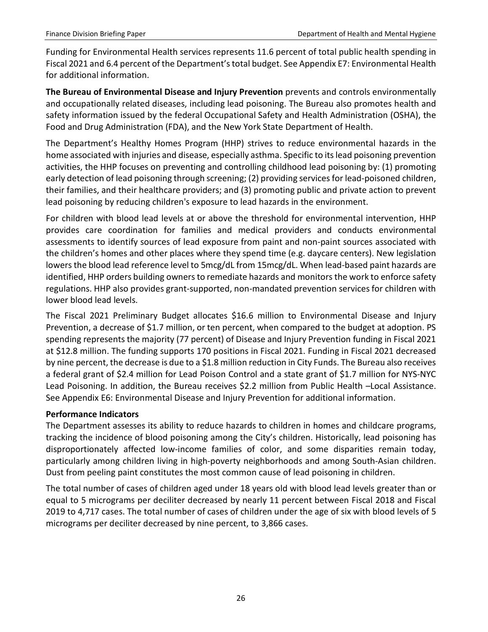Funding for Environmental Health services represents 11.6 percent of total public health spending in Fiscal 2021 and 6.4 percent of the Department's total budget. See Appendix E7: Environmental Health for additional information.

**The Bureau of Environmental Disease and Injury Prevention** prevents and controls environmentally and occupationally related diseases, including lead poisoning. The Bureau also promotes health and safety information issued by the federal Occupational Safety and Health Administration (OSHA), the Food and Drug Administration (FDA), and the New York State Department of Health.

The Department's Healthy Homes Program (HHP) strives to reduce environmental hazards in the home associated with injuries and disease, especially asthma. Specific to its lead poisoning prevention activities, the HHP focuses on preventing and controlling childhood lead poisoning by: (1) promoting early detection of lead poisoning through screening; (2) providing services for lead-poisoned children, their families, and their healthcare providers; and (3) promoting public and private action to prevent lead poisoning by reducing children's exposure to lead hazards in the environment.

For children with blood lead levels at or above the threshold for environmental intervention, HHP provides care coordination for families and medical providers and conducts environmental assessments to identify sources of lead exposure from paint and non-paint sources associated with the children's homes and other places where they spend time (e.g. daycare centers). New legislation lowers the blood lead reference level to 5mcg/dL from 15mcg/dL. When lead-based paint hazards are identified, HHP orders building owners to remediate hazards and monitors the work to enforce safety regulations. HHP also provides grant-supported, non-mandated prevention services for children with lower blood lead levels.

The Fiscal 2021 Preliminary Budget allocates \$16.6 million to Environmental Disease and Injury Prevention, a decrease of \$1.7 million, or ten percent, when compared to the budget at adoption. PS spending represents the majority (77 percent) of Disease and Injury Prevention funding in Fiscal 2021 at \$12.8 million. The funding supports 170 positions in Fiscal 2021. Funding in Fiscal 2021 decreased by nine percent, the decrease is due to a \$1.8 million reduction in City Funds. The Bureau also receives a federal grant of \$2.4 million for Lead Poison Control and a state grant of \$1.7 million for NYS-NYC Lead Poisoning. In addition, the Bureau receives \$2.2 million from Public Health –Local Assistance. See Appendix E6: Environmental Disease and Injury Prevention for additional information.

### **Performance Indicators**

The Department assesses its ability to reduce hazards to children in homes and childcare programs, tracking the incidence of blood poisoning among the City's children. Historically, lead poisoning has disproportionately affected low-income families of color, and some disparities remain today, particularly among children living in high-poverty neighborhoods and among South-Asian children. Dust from peeling paint constitutes the most common cause of lead poisoning in children.

The total number of cases of children aged under 18 years old with blood lead levels greater than or equal to 5 micrograms per deciliter decreased by nearly 11 percent between Fiscal 2018 and Fiscal 2019 to 4,717 cases. The total number of cases of children under the age of six with blood levels of 5 micrograms per deciliter decreased by nine percent, to 3,866 cases.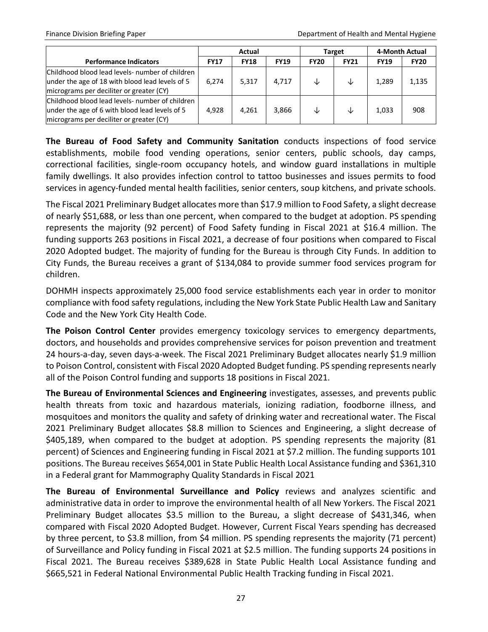|                                                                                                                                                |             | Actual      |             |             | Target      | 4-Month Actual |             |
|------------------------------------------------------------------------------------------------------------------------------------------------|-------------|-------------|-------------|-------------|-------------|----------------|-------------|
| <b>Performance Indicators</b>                                                                                                                  | <b>FY17</b> | <b>FY18</b> | <b>FY19</b> | <b>FY20</b> | <b>FY21</b> | <b>FY19</b>    | <b>FY20</b> |
| Childhood blood lead levels- number of children<br>under the age of 18 with blood lead levels of 5<br>micrograms per deciliter or greater (CY) | 6.274       | 5,317       | 4.717       | ↓           | ↓           | 1.289          | 1,135       |
| Childhood blood lead levels- number of children<br>under the age of 6 with blood lead levels of 5<br>micrograms per deciliter or greater (CY)  | 4,928       | 4,261       | 3,866       | ◡           | ↓           | 1,033          | 908         |

**The Bureau of Food Safety and Community Sanitation** conducts inspections of food service establishments, mobile food vending operations, senior centers, public schools, day camps, correctional facilities, single-room occupancy hotels, and window guard installations in multiple family dwellings. It also provides infection control to tattoo businesses and issues permits to food services in agency-funded mental health facilities, senior centers, soup kitchens, and private schools.

The Fiscal 2021 Preliminary Budget allocates more than \$17.9 million to Food Safety, a slight decrease of nearly \$51,688, or less than one percent, when compared to the budget at adoption. PS spending represents the majority (92 percent) of Food Safety funding in Fiscal 2021 at \$16.4 million. The funding supports 263 positions in Fiscal 2021, a decrease of four positions when compared to Fiscal 2020 Adopted budget. The majority of funding for the Bureau is through City Funds. In addition to City Funds, the Bureau receives a grant of \$134,084 to provide summer food services program for children.

DOHMH inspects approximately 25,000 food service establishments each year in order to monitor compliance with food safety regulations, including the New York State Public Health Law and Sanitary Code and the New York City Health Code.

**The Poison Control Center** provides emergency toxicology services to emergency departments, doctors, and households and provides comprehensive services for poison prevention and treatment 24 hours-a-day, seven days-a-week. The Fiscal 2021 Preliminary Budget allocates nearly \$1.9 million to Poison Control, consistent with Fiscal 2020 Adopted Budget funding. PS spending represents nearly all of the Poison Control funding and supports 18 positions in Fiscal 2021.

**The Bureau of Environmental Sciences and Engineering** investigates, assesses, and prevents public health threats from toxic and hazardous materials, ionizing radiation, foodborne illness, and mosquitoes and monitors the quality and safety of drinking water and recreational water. The Fiscal 2021 Preliminary Budget allocates \$8.8 million to Sciences and Engineering, a slight decrease of \$405,189, when compared to the budget at adoption. PS spending represents the majority (81 percent) of Sciences and Engineering funding in Fiscal 2021 at \$7.2 million. The funding supports 101 positions. The Bureau receives \$654,001 in State Public Health Local Assistance funding and \$361,310 in a Federal grant for Mammography Quality Standards in Fiscal 2021

**The Bureau of Environmental Surveillance and Policy** reviews and analyzes scientific and administrative data in order to improve the environmental health of all New Yorkers. The Fiscal 2021 Preliminary Budget allocates \$3.5 million to the Bureau, a slight decrease of \$431,346, when compared with Fiscal 2020 Adopted Budget. However, Current Fiscal Years spending has decreased by three percent, to \$3.8 million, from \$4 million. PS spending represents the majority (71 percent) of Surveillance and Policy funding in Fiscal 2021 at \$2.5 million. The funding supports 24 positions in Fiscal 2021. The Bureau receives \$389,628 in State Public Health Local Assistance funding and \$665,521 in Federal National Environmental Public Health Tracking funding in Fiscal 2021.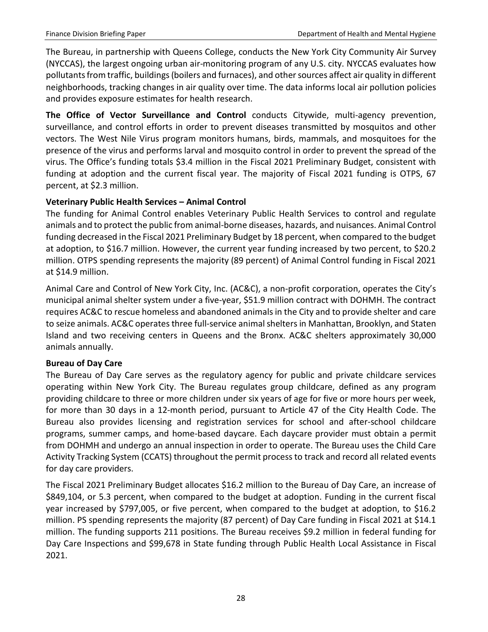The Bureau, in partnership with Queens College, conducts the New York City Community Air Survey (NYCCAS), the largest ongoing urban air-monitoring program of any U.S. city. NYCCAS evaluates how pollutants from traffic, buildings (boilers and furnaces), and other sources affect air quality in different neighborhoods, tracking changes in air quality over time. The data informs local air pollution policies and provides exposure estimates for health research.

**The Office of Vector Surveillance and Control** conducts Citywide, multi-agency prevention, surveillance, and control efforts in order to prevent diseases transmitted by mosquitos and other vectors. The West Nile Virus program monitors humans, birds, mammals, and mosquitoes for the presence of the virus and performs larval and mosquito control in order to prevent the spread of the virus. The Office's funding totals \$3.4 million in the Fiscal 2021 Preliminary Budget, consistent with funding at adoption and the current fiscal year. The majority of Fiscal 2021 funding is OTPS, 67 percent, at \$2.3 million.

#### **Veterinary Public Health Services – Animal Control**

The funding for Animal Control enables Veterinary Public Health Services to control and regulate animals and to protect the public from animal-borne diseases, hazards, and nuisances. Animal Control funding decreased in the Fiscal 2021 Preliminary Budget by 18 percent, when compared to the budget at adoption, to \$16.7 million. However, the current year funding increased by two percent, to \$20.2 million. OTPS spending represents the majority (89 percent) of Animal Control funding in Fiscal 2021 at \$14.9 million.

Animal Care and Control of New York City, Inc. (AC&C), a non-profit corporation, operates the City's municipal animal shelter system under a five-year, \$51.9 million contract with DOHMH. The contract requires AC&C to rescue homeless and abandoned animals in the City and to provide shelter and care to seize animals. AC&C operates three full-service animal shelters in Manhattan, Brooklyn, and Staten Island and two receiving centers in Queens and the Bronx. AC&C shelters approximately 30,000 animals annually.

#### **Bureau of Day Care**

The Bureau of Day Care serves as the regulatory agency for public and private childcare services operating within New York City. The Bureau regulates group childcare, defined as any program providing childcare to three or more children under six years of age for five or more hours per week, for more than 30 days in a 12-month period, pursuant to Article 47 of the City Health Code. The Bureau also provides licensing and registration services for school and after-school childcare programs, summer camps, and home-based daycare. Each daycare provider must obtain a permit from DOHMH and undergo an annual inspection in order to operate. The Bureau uses the Child Care Activity Tracking System (CCATS) throughout the permit process to track and record all related events for day care providers.

The Fiscal 2021 Preliminary Budget allocates \$16.2 million to the Bureau of Day Care, an increase of \$849,104, or 5.3 percent, when compared to the budget at adoption. Funding in the current fiscal year increased by \$797,005, or five percent, when compared to the budget at adoption, to \$16.2 million. PS spending represents the majority (87 percent) of Day Care funding in Fiscal 2021 at \$14.1 million. The funding supports 211 positions. The Bureau receives \$9.2 million in federal funding for Day Care Inspections and \$99,678 in State funding through Public Health Local Assistance in Fiscal 2021.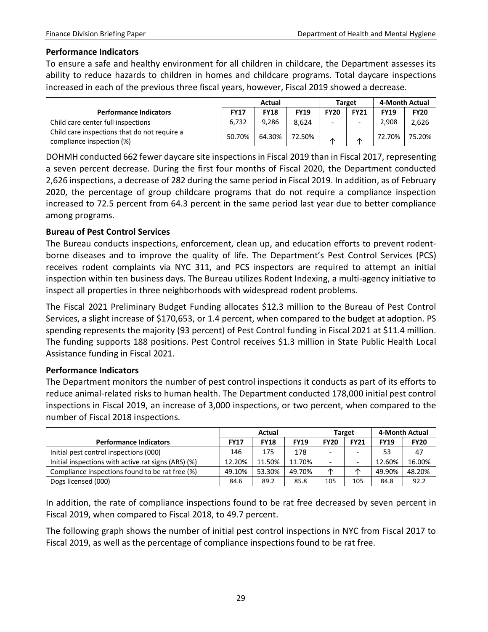#### **Performance Indicators**

To ensure a safe and healthy environment for all children in childcare, the Department assesses its ability to reduce hazards to children in homes and childcare programs. Total daycare inspections increased in each of the previous three fiscal years, however, Fiscal 2019 showed a decrease.

|                                                                           |             | Actual      |             |             | Target      | 4-Month Actual |             |
|---------------------------------------------------------------------------|-------------|-------------|-------------|-------------|-------------|----------------|-------------|
| <b>Performance Indicators</b>                                             | <b>FY17</b> | <b>FY18</b> | <b>FY19</b> | <b>FY20</b> | <b>FY21</b> | <b>FY19</b>    | <b>FY20</b> |
| Child care center full inspections                                        | 6.732       | 9.286       | 8.624       |             |             | 2.908          | 2,626       |
| Child care inspections that do not require a<br>compliance inspection (%) | 50.70%      | 64.30%      | 72.50%      | ⋏           | ∧           | 72.70%         | 75.20%      |

DOHMH conducted 662 fewer daycare site inspections in Fiscal 2019 than in Fiscal 2017, representing a seven percent decrease. During the first four months of Fiscal 2020, the Department conducted 2,626 inspections, a decrease of 282 during the same period in Fiscal 2019. In addition, as of February 2020, the percentage of group childcare programs that do not require a compliance inspection increased to 72.5 percent from 64.3 percent in the same period last year due to better compliance among programs.

#### **Bureau of Pest Control Services**

The Bureau conducts inspections, enforcement, clean up, and education efforts to prevent rodentborne diseases and to improve the quality of life. The Department's Pest Control Services (PCS) receives rodent complaints via NYC 311, and PCS inspectors are required to attempt an initial inspection within ten business days. The Bureau utilizes Rodent Indexing, a multi-agency initiative to inspect all properties in three neighborhoods with widespread rodent problems.

The Fiscal 2021 Preliminary Budget Funding allocates \$12.3 million to the Bureau of Pest Control Services, a slight increase of \$170,653, or 1.4 percent, when compared to the budget at adoption. PS spending represents the majority (93 percent) of Pest Control funding in Fiscal 2021 at \$11.4 million. The funding supports 188 positions. Pest Control receives \$1.3 million in State Public Health Local Assistance funding in Fiscal 2021.

#### **Performance Indicators**

The Department monitors the number of pest control inspections it conducts as part of its efforts to reduce animal-related risks to human health. The Department conducted 178,000 initial pest control inspections in Fiscal 2019, an increase of 3,000 inspections, or two percent, when compared to the number of Fiscal 2018 inspections.

|                                                     |             | Actual      |             |                          | Target      | 4-Month Actual |             |
|-----------------------------------------------------|-------------|-------------|-------------|--------------------------|-------------|----------------|-------------|
| <b>Performance Indicators</b>                       | <b>FY17</b> | <b>FY18</b> | <b>FY19</b> | <b>FY20</b>              | <b>FY21</b> | <b>FY19</b>    | <b>FY20</b> |
| Initial pest control inspections (000)              | 146         | 175         | 178         | $\overline{\phantom{0}}$ |             | 53             | 47          |
| Initial inspections with active rat signs (ARS) (%) | 12.20%      | 11.50%      | 11.70%      | $\overline{\phantom{0}}$ |             | 12.60%         | 16.00%      |
| Compliance inspections found to be rat free (%)     | 49.10%      | 53.30%      | 49.70%      | ∧                        | y           | 49.90%         | 48.20%      |
| Dogs licensed (000)                                 | 84.6        | 89.2        | 85.8        | 105                      | 105         | 84.8           | 92.2        |

In addition, the rate of compliance inspections found to be rat free decreased by seven percent in Fiscal 2019, when compared to Fiscal 2018, to 49.7 percent.

The following graph shows the number of initial pest control inspections in NYC from Fiscal 2017 to Fiscal 2019, as well as the percentage of compliance inspections found to be rat free.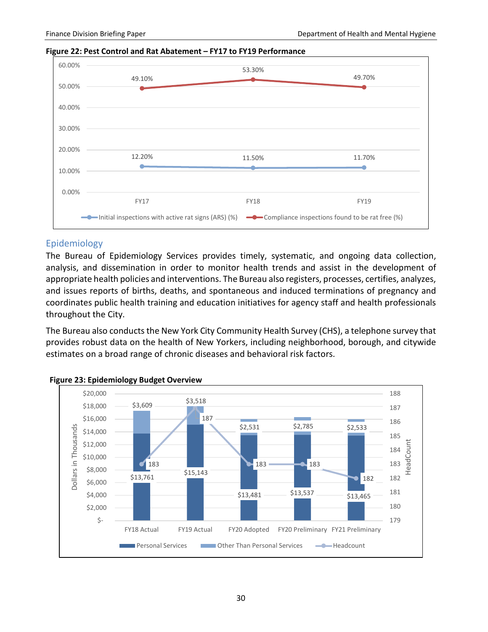#### **Figure 22: Pest Control and Rat Abatement – FY17 to FY19 Performance**



#### <span id="page-32-0"></span>Epidemiology

The Bureau of Epidemiology Services provides timely, systematic, and ongoing data collection, analysis, and dissemination in order to monitor health trends and assist in the development of appropriate health policies and interventions. The Bureau also registers, processes, certifies, analyzes, and issues reports of births, deaths, and spontaneous and induced terminations of pregnancy and coordinates public health training and education initiatives for agency staff and health professionals throughout the City.

The Bureau also conducts the New York City Community Health Survey (CHS), a telephone survey that provides robust data on the health of New Yorkers, including neighborhood, borough, and citywide estimates on a broad range of chronic diseases and behavioral risk factors.



#### **Figure 23: Epidemiology Budget Overview**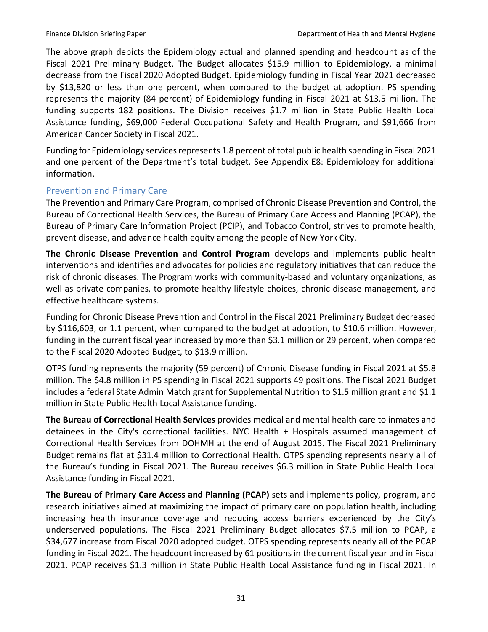The above graph depicts the Epidemiology actual and planned spending and headcount as of the Fiscal 2021 Preliminary Budget. The Budget allocates \$15.9 million to Epidemiology, a minimal decrease from the Fiscal 2020 Adopted Budget. Epidemiology funding in Fiscal Year 2021 decreased by \$13,820 or less than one percent, when compared to the budget at adoption. PS spending represents the majority (84 percent) of Epidemiology funding in Fiscal 2021 at \$13.5 million. The funding supports 182 positions. The Division receives \$1.7 million in State Public Health Local Assistance funding, \$69,000 Federal Occupational Safety and Health Program, and \$91,666 from American Cancer Society in Fiscal 2021.

Funding for Epidemiology services represents 1.8 percent of total public health spending in Fiscal 2021 and one percent of the Department's total budget. See Appendix E8: Epidemiology for additional information.

### <span id="page-33-0"></span>Prevention and Primary Care

The Prevention and Primary Care Program, comprised of Chronic Disease Prevention and Control, the Bureau of Correctional Health Services, the Bureau of Primary Care Access and Planning (PCAP), the Bureau of Primary Care Information Project (PCIP), and Tobacco Control, strives to promote health, prevent disease, and advance health equity among the people of New York City.

**The Chronic Disease Prevention and Control Program** develops and implements public health interventions and identifies and advocates for policies and regulatory initiatives that can reduce the risk of chronic diseases. The Program works with community-based and voluntary organizations, as well as private companies, to promote healthy lifestyle choices, chronic disease management, and effective healthcare systems.

Funding for Chronic Disease Prevention and Control in the Fiscal 2021 Preliminary Budget decreased by \$116,603, or 1.1 percent, when compared to the budget at adoption, to \$10.6 million. However, funding in the current fiscal year increased by more than \$3.1 million or 29 percent, when compared to the Fiscal 2020 Adopted Budget, to \$13.9 million.

OTPS funding represents the majority (59 percent) of Chronic Disease funding in Fiscal 2021 at \$5.8 million. The \$4.8 million in PS spending in Fiscal 2021 supports 49 positions. The Fiscal 2021 Budget includes a federal State Admin Match grant for Supplemental Nutrition to \$1.5 million grant and \$1.1 million in State Public Health Local Assistance funding.

**The Bureau of Correctional Health Services** provides medical and mental health care to inmates and detainees in the City's correctional facilities. NYC Health + Hospitals assumed management of Correctional Health Services from DOHMH at the end of August 2015. The Fiscal 2021 Preliminary Budget remains flat at \$31.4 million to Correctional Health. OTPS spending represents nearly all of the Bureau's funding in Fiscal 2021. The Bureau receives \$6.3 million in State Public Health Local Assistance funding in Fiscal 2021.

**The Bureau of Primary Care Access and Planning (PCAP)** sets and implements policy, program, and research initiatives aimed at maximizing the impact of primary care on population health, including increasing health insurance coverage and reducing access barriers experienced by the City's underserved populations. The Fiscal 2021 Preliminary Budget allocates \$7.5 million to PCAP, a \$34,677 increase from Fiscal 2020 adopted budget. OTPS spending represents nearly all of the PCAP funding in Fiscal 2021. The headcount increased by 61 positions in the current fiscal year and in Fiscal 2021. PCAP receives \$1.3 million in State Public Health Local Assistance funding in Fiscal 2021. In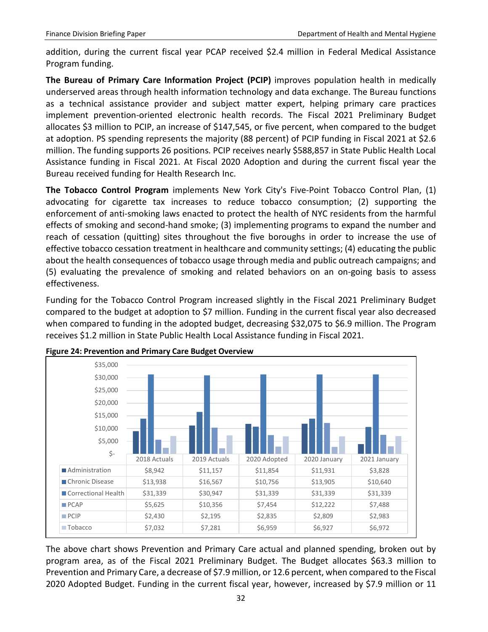addition, during the current fiscal year PCAP received \$2.4 million in Federal Medical Assistance Program funding.

**The Bureau of Primary Care Information Project (PCIP)** improves population health in medically underserved areas through health information technology and data exchange. The Bureau functions as a technical assistance provider and subject matter expert, helping primary care practices implement prevention-oriented electronic health records. The Fiscal 2021 Preliminary Budget allocates \$3 million to PCIP, an increase of \$147,545, or five percent, when compared to the budget at adoption. PS spending represents the majority (88 percent) of PCIP funding in Fiscal 2021 at \$2.6 million. The funding supports 26 positions. PCIP receives nearly \$588,857 in State Public Health Local Assistance funding in Fiscal 2021. At Fiscal 2020 Adoption and during the current fiscal year the Bureau received funding for Health Research Inc.

**The Tobacco Control Program** implements New York City's Five-Point Tobacco Control Plan, (1) advocating for cigarette tax increases to reduce tobacco consumption; (2) supporting the enforcement of anti-smoking laws enacted to protect the health of NYC residents from the harmful effects of smoking and second-hand smoke; (3) implementing programs to expand the number and reach of cessation (quitting) sites throughout the five boroughs in order to increase the use of effective tobacco cessation treatment in healthcare and community settings; (4) educating the public about the health consequences of tobacco usage through media and public outreach campaigns; and (5) evaluating the prevalence of smoking and related behaviors on an on-going basis to assess effectiveness.

Funding for the Tobacco Control Program increased slightly in the Fiscal 2021 Preliminary Budget compared to the budget at adoption to \$7 million. Funding in the current fiscal year also decreased when compared to funding in the adopted budget, decreasing \$32,075 to \$6.9 million. The Program receives \$1.2 million in State Public Health Local Assistance funding in Fiscal 2021.



**Figure 24: Prevention and Primary Care Budget Overview**

The above chart shows Prevention and Primary Care actual and planned spending, broken out by program area, as of the Fiscal 2021 Preliminary Budget. The Budget allocates \$63.3 million to Prevention and Primary Care, a decrease of \$7.9 million, or 12.6 percent, when compared to the Fiscal 2020 Adopted Budget. Funding in the current fiscal year, however, increased by \$7.9 million or 11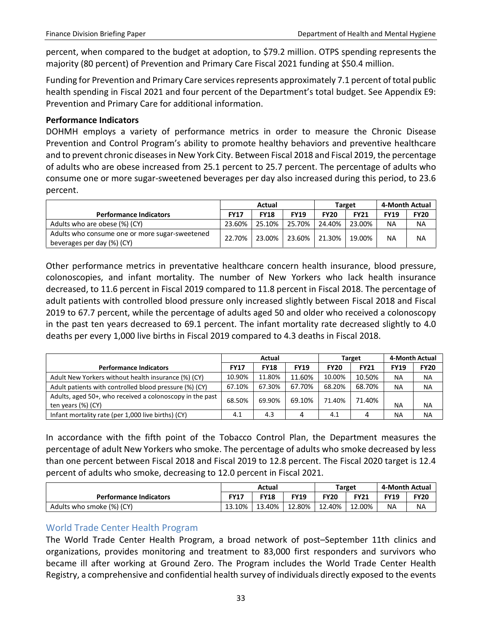percent, when compared to the budget at adoption, to \$79.2 million. OTPS spending represents the majority (80 percent) of Prevention and Primary Care Fiscal 2021 funding at \$50.4 million.

Funding for Prevention and Primary Care services represents approximately 7.1 percent of total public health spending in Fiscal 2021 and four percent of the Department's total budget. See Appendix E9: Prevention and Primary Care for additional information.

#### **Performance Indicators**

DOHMH employs a variety of performance metrics in order to measure the Chronic Disease Prevention and Control Program's ability to promote healthy behaviors and preventive healthcare and to prevent chronic diseases in New York City. Between Fiscal 2018 and Fiscal 2019, the percentage of adults who are obese increased from 25.1 percent to 25.7 percent. The percentage of adults who consume one or more sugar-sweetened beverages per day also increased during this period, to 23.6 percent.

|                                                                              |             | Actual      |                 |             | <b>Target</b> | 4-Month Actual |             |
|------------------------------------------------------------------------------|-------------|-------------|-----------------|-------------|---------------|----------------|-------------|
| <b>Performance Indicators</b>                                                | <b>FY17</b> | <b>FY18</b> | <b>FY19</b>     | <b>FY20</b> | <b>FY21</b>   | <b>FY19</b>    | <b>FY20</b> |
| Adults who are obese (%) (CY)                                                | 23.60%      | 25.10%      | 25.70%          | 24.40%      | 23.00%        | ΝA             | <b>NA</b>   |
| Adults who consume one or more sugar-sweetened<br>beverages per day (%) (CY) | 22.70%      | 23.00%      | 23.60%   21.30% |             | 19.00%        | NA             | <b>NA</b>   |

Other performance metrics in preventative healthcare concern health insurance, blood pressure, colonoscopies, and infant mortality. The number of New Yorkers who lack health insurance decreased, to 11.6 percent in Fiscal 2019 compared to 11.8 percent in Fiscal 2018. The percentage of adult patients with controlled blood pressure only increased slightly between Fiscal 2018 and Fiscal 2019 to 67.7 percent, while the percentage of adults aged 50 and older who received a colonoscopy in the past ten years decreased to 69.1 percent. The infant mortality rate decreased slightly to 4.0 deaths per every 1,000 live births in Fiscal 2019 compared to 4.3 deaths in Fiscal 2018.

|                                                                                | Actual      |             |             |             | Target      | 4-Month Actual |             |
|--------------------------------------------------------------------------------|-------------|-------------|-------------|-------------|-------------|----------------|-------------|
| <b>Performance Indicators</b>                                                  | <b>FY17</b> | <b>FY18</b> | <b>FY19</b> | <b>FY20</b> | <b>FY21</b> | <b>FY19</b>    | <b>FY20</b> |
| Adult New Yorkers without health insurance (%) (CY)                            | 10.90%      | 11.80%      | 11.60%      | 10.00%      | 10.50%      | <b>NA</b>      | NА          |
| Adult patients with controlled blood pressure (%) (CY)                         | 67.10%      | 67.30%      | 67.70%      | 68.20%      | 68.70%      | <b>NA</b>      | <b>NA</b>   |
| Adults, aged 50+, who received a colonoscopy in the past<br>ten years (%) (CY) | 68.50%      | 69.90%      | 69.10%      | 71.40%      | 71.40%      | NA             | <b>NA</b>   |
| Infant mortality rate (per 1,000 live births) (CY)                             | 4.1         | 4.3         | 4           | 4.1         | 4           | NA             | NA          |

In accordance with the fifth point of the Tobacco Control Plan, the Department measures the percentage of adult New Yorkers who smoke. The percentage of adults who smoke decreased by less than one percent between Fiscal 2018 and Fiscal 2019 to 12.8 percent. The Fiscal 2020 target is 12.4 percent of adults who smoke, decreasing to 12.0 percent in Fiscal 2021.

|                               | Actual      |             |             |             | Target      | 4-Month Actual |             |
|-------------------------------|-------------|-------------|-------------|-------------|-------------|----------------|-------------|
| <b>Performance Indicators</b> | <b>FY17</b> | <b>FY18</b> | <b>FY19</b> | <b>FY20</b> | <b>FY21</b> | <b>FY19</b>    | <b>FY20</b> |
| Adults who smoke (%) (CY)     | 13.10%      | 13.40%      | 12.80%      | 12.40%      | 12.00%      | NΑ             | <b>NA</b>   |

### <span id="page-35-0"></span>World Trade Center Health Program

The World Trade Center Health Program, a broad network of post–September 11th clinics and organizations, provides monitoring and treatment to 83,000 first responders and survivors who became ill after working at Ground Zero. The Program includes the World Trade Center Health Registry, a comprehensive and confidential health survey of individuals directly exposed to the events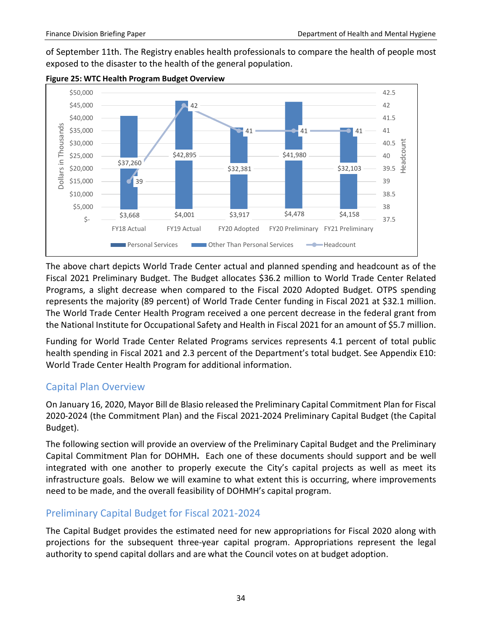of September 11th. The Registry enables health professionals to compare the health of people most exposed to the disaster to the health of the general population.



#### **Figure 25: WTC Health Program Budget Overview**

The above chart depicts World Trade Center actual and planned spending and headcount as of the Fiscal 2021 Preliminary Budget. The Budget allocates \$36.2 million to World Trade Center Related Programs, a slight decrease when compared to the Fiscal 2020 Adopted Budget. OTPS spending represents the majority (89 percent) of World Trade Center funding in Fiscal 2021 at \$32.1 million. The World Trade Center Health Program received a one percent decrease in the federal grant from the National Institute for Occupational Safety and Health in Fiscal 2021 for an amount of \$5.7 million.

Funding for World Trade Center Related Programs services represents 4.1 percent of total public health spending in Fiscal 2021 and 2.3 percent of the Department's total budget. See Appendix E10: World Trade Center Health Program for additional information.

# <span id="page-36-0"></span>Capital Plan Overview

On January 16, 2020, Mayor Bill de Blasio released the Preliminary Capital Commitment Plan for Fiscal 2020-2024 (the Commitment Plan) and the Fiscal 2021-2024 Preliminary Capital Budget (the Capital Budget).

The following section will provide an overview of the Preliminary Capital Budget and the Preliminary Capital Commitment Plan for DOHMH**.** Each one of these documents should support and be well integrated with one another to properly execute the City's capital projects as well as meet its infrastructure goals. Below we will examine to what extent this is occurring, where improvements need to be made, and the overall feasibility of DOHMH's capital program.

# <span id="page-36-1"></span>Preliminary Capital Budget for Fiscal 2021-2024

The Capital Budget provides the estimated need for new appropriations for Fiscal 2020 along with projections for the subsequent three-year capital program. Appropriations represent the legal authority to spend capital dollars and are what the Council votes on at budget adoption.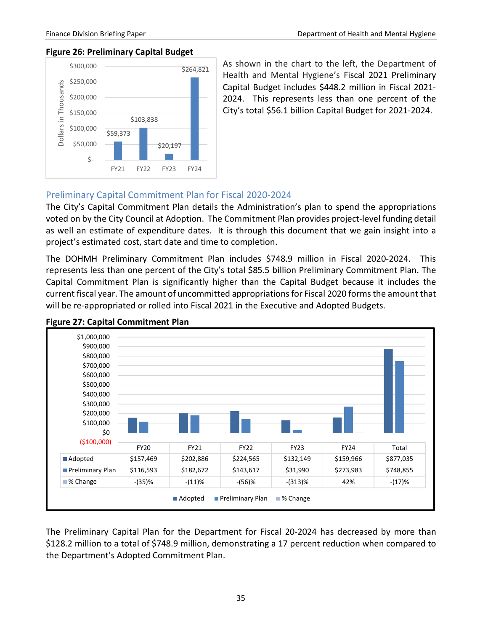#### **Figure 26: Preliminary Capital Budget**



As shown in the chart to the left, the Department of Health and Mental Hygiene's Fiscal 2021 Preliminary Capital Budget includes \$448.2 million in Fiscal 2021- 2024. This represents less than one percent of the City's total \$56.1 billion Capital Budget for 2021-2024.

#### <span id="page-37-0"></span>Preliminary Capital Commitment Plan for Fiscal 2020-2024

The City's Capital Commitment Plan details the Administration's plan to spend the appropriations voted on by the City Council at Adoption. The Commitment Plan provides project-level funding detail as well an estimate of expenditure dates. It is through this document that we gain insight into a project's estimated cost, start date and time to completion.

The DOHMH Preliminary Commitment Plan includes \$748.9 million in Fiscal 2020-2024. This represents less than one percent of the City's total \$85.5 billion Preliminary Commitment Plan. The Capital Commitment Plan is significantly higher than the Capital Budget because it includes the current fiscal year. The amount of uncommitted appropriations for Fiscal 2020 formsthe amount that will be re-appropriated or rolled into Fiscal 2021 in the Executive and Adopted Budgets.



#### **Figure 27: Capital Commitment Plan**

The Preliminary Capital Plan for the Department for Fiscal 20-2024 has decreased by more than \$128.2 million to a total of \$748.9 million, demonstrating a 17 percent reduction when compared to the Department's Adopted Commitment Plan.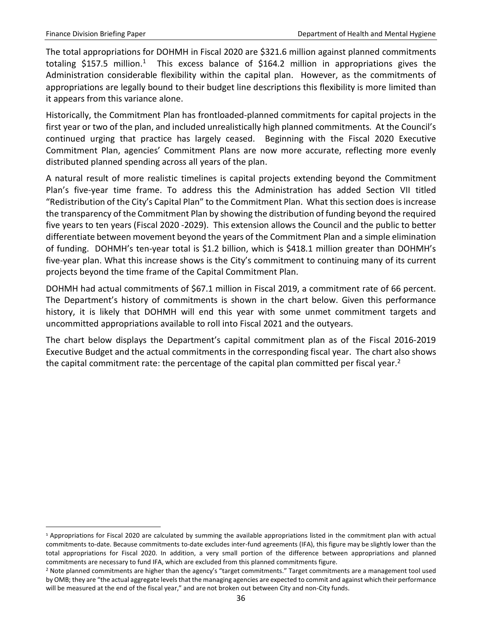$\overline{a}$ 

The total appropriations for DOHMH in Fiscal 2020 are \$321.6 million against planned commitments totaling \$[1](#page-38-0)57.5 million.<sup>1</sup> This excess balance of \$164.2 million in appropriations gives the Administration considerable flexibility within the capital plan. However, as the commitments of appropriations are legally bound to their budget line descriptions this flexibility is more limited than it appears from this variance alone.

Historically, the Commitment Plan has frontloaded-planned commitments for capital projects in the first year or two of the plan, and included unrealistically high planned commitments. At the Council's continued urging that practice has largely ceased. Beginning with the Fiscal 2020 Executive Commitment Plan, agencies' Commitment Plans are now more accurate, reflecting more evenly distributed planned spending across all years of the plan.

A natural result of more realistic timelines is capital projects extending beyond the Commitment Plan's five-year time frame. To address this the Administration has added Section VII titled "Redistribution of the City's Capital Plan" to the Commitment Plan. What this section does is increase the transparency of the Commitment Plan by showing the distribution of funding beyond the required five years to ten years (Fiscal 2020 -2029). This extension allows the Council and the public to better differentiate between movement beyond the years of the Commitment Plan and a simple elimination of funding. DOHMH's ten-year total is \$1.2 billion, which is \$418.1 million greater than DOHMH's five-year plan. What this increase shows is the City's commitment to continuing many of its current projects beyond the time frame of the Capital Commitment Plan.

DOHMH had actual commitments of \$67.1 million in Fiscal 2019, a commitment rate of 66 percent. The Department's history of commitments is shown in the chart below. Given this performance history, it is likely that DOHMH will end this year with some unmet commitment targets and uncommitted appropriations available to roll into Fiscal 2021 and the outyears.

The chart below displays the Department's capital commitment plan as of the Fiscal 2016-2019 Executive Budget and the actual commitments in the corresponding fiscal year. The chart also shows the capital commitment rate: the percentage of the capital plan committed per fiscal year.<sup>2</sup>

<span id="page-38-0"></span><sup>1</sup> Appropriations for Fiscal 2020 are calculated by summing the available appropriations listed in the commitment plan with actual commitments to-date. Because commitments to-date excludes inter-fund agreements (IFA), this figure may be slightly lower than the total appropriations for Fiscal 2020. In addition, a very small portion of the difference between appropriations and planned commitments are necessary to fund IFA, which are excluded from this planned commitments figure.

<span id="page-38-1"></span><sup>&</sup>lt;sup>2</sup> Note planned commitments are higher than the agency's "target commitments." Target commitments are a management tool used by OMB; they are "the actual aggregate levels that the managing agencies are expected to commit and against which their performance will be measured at the end of the fiscal year," and are not broken out between City and non-City funds.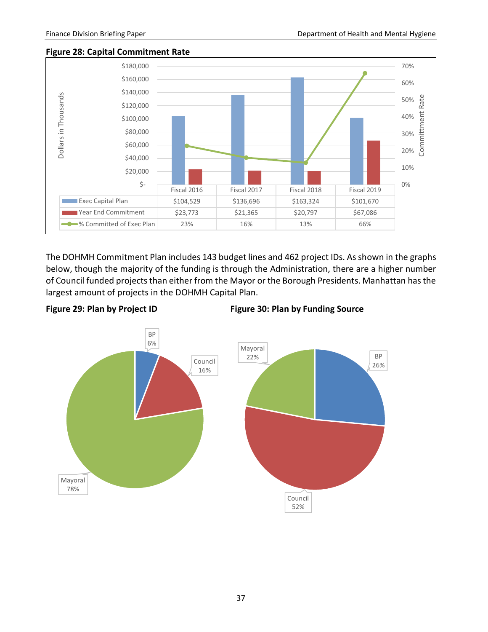#### **Figure 28: Capital Commitment Rate**



The DOHMH Commitment Plan includes 143 budget lines and 462 project IDs. As shown in the graphs below, though the majority of the funding is through the Administration, there are a higher number of Council funded projects than either from the Mayor or the Borough Presidents. Manhattan has the largest amount of projects in the DOHMH Capital Plan.





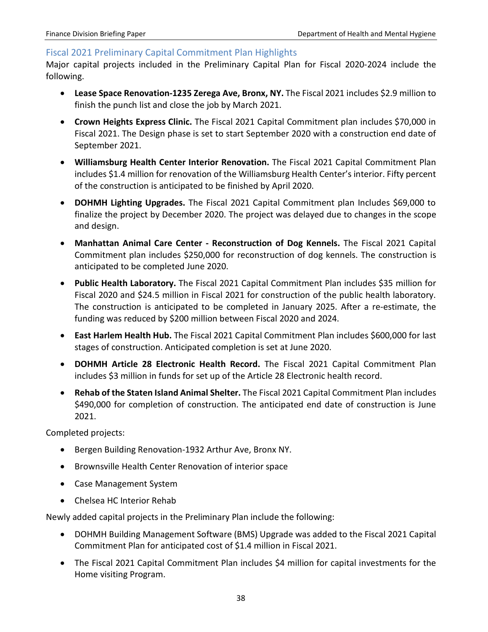#### <span id="page-40-0"></span>Fiscal 2021 Preliminary Capital Commitment Plan Highlights

Major capital projects included in the Preliminary Capital Plan for Fiscal 2020-2024 include the following.

- **Lease Space Renovation-1235 Zerega Ave, Bronx, NY.** The Fiscal 2021 includes \$2.9 million to finish the punch list and close the job by March 2021.
- **Crown Heights Express Clinic.** The Fiscal 2021 Capital Commitment plan includes \$70,000 in Fiscal 2021. The Design phase is set to start September 2020 with a construction end date of September 2021.
- **Williamsburg Health Center Interior Renovation.** The Fiscal 2021 Capital Commitment Plan includes \$1.4 million for renovation of the Williamsburg Health Center's interior. Fifty percent of the construction is anticipated to be finished by April 2020.
- **DOHMH Lighting Upgrades.** The Fiscal 2021 Capital Commitment plan Includes \$69,000 to finalize the project by December 2020. The project was delayed due to changes in the scope and design.
- **Manhattan Animal Care Center - Reconstruction of Dog Kennels.** The Fiscal 2021 Capital Commitment plan includes \$250,000 for reconstruction of dog kennels. The construction is anticipated to be completed June 2020.
- **Public Health Laboratory.** The Fiscal 2021 Capital Commitment Plan includes \$35 million for Fiscal 2020 and \$24.5 million in Fiscal 2021 for construction of the public health laboratory. The construction is anticipated to be completed in January 2025. After a re-estimate, the funding was reduced by \$200 million between Fiscal 2020 and 2024.
- **East Harlem Health Hub.** The Fiscal 2021 Capital Commitment Plan includes \$600,000 for last stages of construction. Anticipated completion is set at June 2020.
- **DOHMH Article 28 Electronic Health Record.** The Fiscal 2021 Capital Commitment Plan includes \$3 million in funds for set up of the Article 28 Electronic health record.
- **Rehab of the Staten Island Animal Shelter.** The Fiscal 2021 Capital Commitment Plan includes \$490,000 for completion of construction. The anticipated end date of construction is June 2021.

Completed projects:

- Bergen Building Renovation-1932 Arthur Ave, Bronx NY.
- Brownsville Health Center Renovation of interior space
- Case Management System
- Chelsea HC Interior Rehab

Newly added capital projects in the Preliminary Plan include the following:

- DOHMH Building Management Software (BMS) Upgrade was added to the Fiscal 2021 Capital Commitment Plan for anticipated cost of \$1.4 million in Fiscal 2021.
- The Fiscal 2021 Capital Commitment Plan includes \$4 million for capital investments for the Home visiting Program.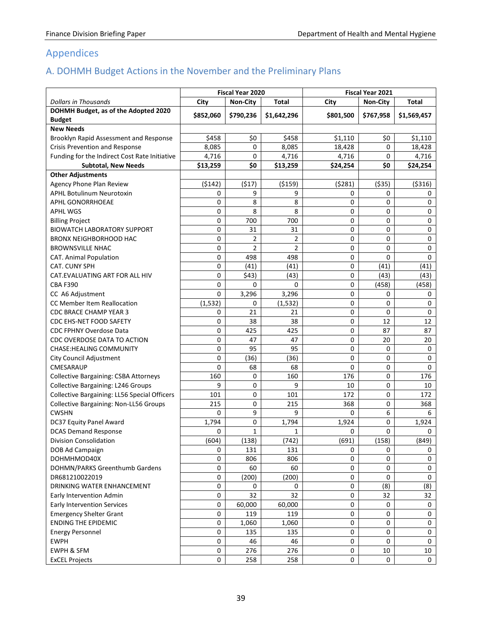# <span id="page-41-0"></span>Appendices

# <span id="page-41-1"></span>A. DOHMH Budget Actions in the November and the Preliminary Plans

|                                               | Fiscal Year 2020 |                 | Fiscal Year 2021 |           |             |             |
|-----------------------------------------------|------------------|-----------------|------------------|-----------|-------------|-------------|
| <b>Dollars in Thousands</b>                   | City             | <b>Non-City</b> | Total            | City      | Non-City    | Total       |
| DOHMH Budget, as of the Adopted 2020          |                  |                 |                  |           |             |             |
| <b>Budget</b>                                 | \$852,060        | \$790,236       | \$1,642,296      | \$801,500 | \$767,958   | \$1,569,457 |
| <b>New Needs</b>                              |                  |                 |                  |           |             |             |
| Brooklyn Rapid Assessment and Response        | \$458            | \$0             | \$458            | \$1,110   | \$0         | \$1,110     |
| Crisis Prevention and Response                | 8,085            | 0               | 8,085            | 18,428    | 0           | 18,428      |
| Funding for the Indirect Cost Rate Initiative | 4,716            | 0               | 4,716            | 4,716     | 0           | 4,716       |
| <b>Subtotal, New Needs</b>                    | \$13,259         | \$0             | \$13,259         | \$24,254  | \$0         | \$24,254    |
| <b>Other Adjustments</b>                      |                  |                 |                  |           |             |             |
| Agency Phone Plan Review                      | (5142)           | (517)           | ( \$159)         | (5281)    | ( \$35)     | ( \$316)    |
| <b>APHL Botulinum Neurotoxin</b>              | 0                | 9               | 9                | 0         | 0           | 0           |
| APHL GONORRHOEAE                              | 0                | 8               | 8                | 0         | 0           | 0           |
| <b>APHL WGS</b>                               | 0                | 8               | 8                | 0         | 0           | 0           |
| <b>Billing Project</b>                        | 0                | 700             | 700              | 0         | 0           | 0           |
| <b>BIOWATCH LABORATORY SUPPORT</b>            | 0                | 31              | 31               | 0         | 0           | 0           |
| <b>BRONX NEIGHBORHOOD HAC</b>                 | 0                | 2               | $\overline{2}$   | 0         | 0           | 0           |
| <b>BROWNSVILLE NHAC</b>                       | 0                | $\overline{2}$  | $\overline{2}$   | 0         | 0           | 0           |
| <b>CAT. Animal Population</b>                 | 0                | 498             | 498              | 0         | 0           | 0           |
| CAT. CUNY SPH                                 | 0                | (41)            | (41)             | 0         | (41)        | (41)        |
| CAT. EVALUATING ART FOR ALL HIV               | 0                | \$43)           | (43)             | 0         | (43)        | (43)        |
| <b>CBA F390</b>                               | 0                | 0               | 0                | 0         | (458)       | (458)       |
| CC A6 Adjustment                              | 0                | 3,296           | 3,296            | 0         | 0           | 0           |
| CC Member Item Reallocation                   | (1, 532)         | 0               | (1, 532)         | 0         | 0           | 0           |
| CDC BRACE CHAMP YEAR 3                        | 0                | 21              | 21               | 0         | 0           | 0           |
| CDC EHS-NET FOOD SAFETY                       | 0                | 38              | 38               | 0         | 12          | 12          |
| <b>CDC FPHNY Overdose Data</b>                | 0                | 425             | 425              | 0         | 87          | 87          |
| CDC OVERDOSE DATA TO ACTION                   | 0                | 47              | 47               | 0         | 20          | 20          |
| <b>CHASE:HEALING COMMUNITY</b>                | 0                | 95              | 95               | 0         | 0           | 0           |
| City Council Adjustment                       | 0                | (36)            | (36)             | 0         | 0           | 0           |
| CMESARAUP                                     | 0                | 68              | 68               | 0         | 0           | 0           |
| <b>Collective Bargaining: CSBA Attorneys</b>  | 160              | 0               | 160              | 176       | 0           | 176         |
| Collective Bargaining: L246 Groups            | 9                | 0               | 9                | 10        | 0           | 10          |
| Collective Bargaining: LL56 Special Officers  | 101              | 0               | 101              | 172       | 0           | 172         |
| Collective Bargaining: Non-LL56 Groups        | 215              | 0               | 215              | 368       | 0           | 368         |
| <b>CWSHN</b>                                  | 0                | 9               | 9                | 0         | 6           | 6           |
| DC37 Equity Panel Award                       | 1,794            | $\pmb{0}$       | 1,794            | 1,924     | 0           | 1,924       |
| <b>DCAS Demand Response</b>                   | 0                | $\mathbf{1}$    | 1                | 0         | 0           | 0           |
| <b>Division Consolidation</b>                 | (604)            | (138)           | (742)            | (691)     | (158)       | (849)       |
| DOB Ad Campaign                               | 0                | 131             | 131              | 0         | 0           | 0           |
| DOHMHMOD40X                                   | 0                | 806             | 806              | 0         | 0           | 0           |
| DOHMN/PARKS Greenthumb Gardens                | 0                | 60              | 60               | 0         | 0           | 0           |
| DR681210022019                                | 0                | (200)           | (200)            | $\pmb{0}$ | $\mathbf 0$ | 0           |
| DRINKING WATER ENHANCEMENT                    | 0                | 0               | 0                | 0         | (8)         | (8)         |
| Early Intervention Admin                      | 0                | 32              | 32               | 0         | 32          | 32          |
| <b>Early Intervention Services</b>            | 0                | 60,000          | 60,000           | 0         | 0           | 0           |
| <b>Emergency Shelter Grant</b>                | 0                | 119             | 119              | 0         | 0           | 0           |
| <b>ENDING THE EPIDEMIC</b>                    | 0                | 1,060           | 1,060            | 0         | 0           | 0           |
| <b>Energy Personnel</b>                       | 0                | 135             | 135              | 0         | 0           | 0           |
| <b>EWPH</b>                                   | 0                | 46              | 46               | 0         | $\Omega$    | 0           |
| EWPH & SFM                                    | 0                | 276             | 276              | 0         | 10          | 10          |
| <b>ExCEL Projects</b>                         | 0                | 258             | 258              | 0         | $\pmb{0}$   | 0           |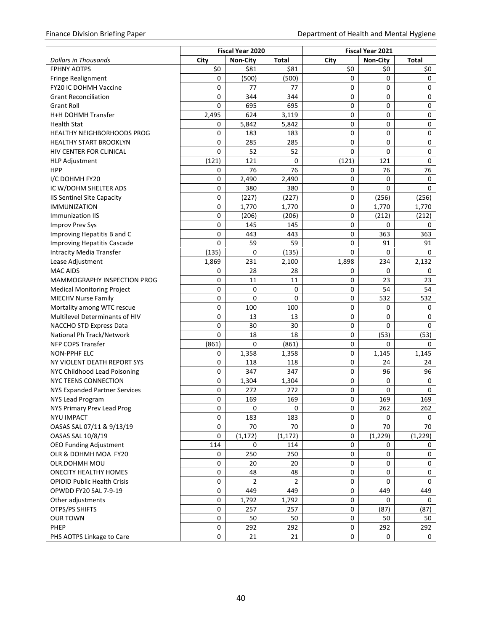|                                    |       | Fiscal Year 2020 |                | <b>Fiscal Year 2021</b> |                 |              |  |  |
|------------------------------------|-------|------------------|----------------|-------------------------|-----------------|--------------|--|--|
| <b>Dollars in Thousands</b>        | City  | <b>Non-City</b>  | <b>Total</b>   | City                    | <b>Non-City</b> | <b>Total</b> |  |  |
| <b>FPHNY AOTPS</b>                 | \$0   | \$81             | \$81           | \$0                     | \$0             | \$0          |  |  |
| <b>Fringe Realignment</b>          | 0     | (500)            | (500)          | 0                       | 0               | 0            |  |  |
| FY20 IC DOHMH Vaccine              | 0     | 77               | 77             | 0                       | 0               | 0            |  |  |
| <b>Grant Reconciliation</b>        | 0     | 344              | 344            | 0                       | 0               | 0            |  |  |
| <b>Grant Roll</b>                  | 0     | 695              | 695            | 0                       | 0               | 0            |  |  |
| H+H DOHMH Transfer                 | 2,495 | 624              | 3,119          | 0                       | 0               | 0            |  |  |
| <b>Health Stat</b>                 | 0     | 5,842            | 5,842          | 0                       | 0               | 0            |  |  |
| <b>HEALTHY NEIGHBORHOODS PROG</b>  | 0     | 183              | 183            | 0                       | 0               | 0            |  |  |
| <b>HEALTHY START BROOKLYN</b>      | 0     | 285              | 285            | $\mathbf 0$             | 0               | 0            |  |  |
| <b>HIV CENTER FOR CLINICAL</b>     | 0     | 52               | 52             | $\pmb{0}$               | 0               | 0            |  |  |
| <b>HLP Adjustment</b>              | (121) | 121              | 0              | (121)                   | 121             | 0            |  |  |
| <b>HPP</b>                         | 0     | 76               | 76             | 0                       | 76              | 76           |  |  |
| I/C DOHMH FY20                     | 0     | 2,490            | 2,490          | 0                       | 0               | 0            |  |  |
| IC W/DOHM SHELTER ADS              | 0     | 380              | 380            | 0                       | 0               | $\Omega$     |  |  |
| <b>IIS Sentinel Site Capacity</b>  | 0     | (227)            | (227)          | 0                       | (256)           | (256)        |  |  |
| <b>IMMUNIZATION</b>                | 0     | 1,770            | 1,770          | 0                       | 1,770           | 1,770        |  |  |
| Immunization IIS                   | 0     | (206)            | (206)          | 0                       | (212)           | (212)        |  |  |
| <b>Improv Prev Sys</b>             | 0     | 145              | 145            | 0                       | 0               | 0            |  |  |
| Improving Hepatitis B and C        | 0     | 443              | 443            | 0                       | 363             | 363          |  |  |
| <b>Improving Hepatitis Cascade</b> | 0     | 59               | 59             | $\mathbf 0$             | 91              | 91           |  |  |
| <b>Intracity Media Transfer</b>    | (135) | 0                | (135)          | $\Omega$                | 0               | 0            |  |  |
| Lease Adjustment                   | 1,869 | 231              | 2,100          | 1,898                   | 234             | 2,132        |  |  |
| <b>MAC AIDS</b>                    | 0     | 28               | 28             | 0                       | 0               | 0            |  |  |
| MAMMOGRAPHY INSPECTION PROG        | 0     | 11               | 11             | 0                       | 23              | 23           |  |  |
| <b>Medical Monitoring Project</b>  | 0     | 0                | 0              | 0                       | 54              | 54           |  |  |
| <b>MIECHV Nurse Family</b>         | 0     | 0                | 0              | 0                       | 532             | 532          |  |  |
| Mortality among WTC rescue         | 0     | 100              | 100            | 0                       | 0               | 0            |  |  |
| Multilevel Determinants of HIV     | 0     | 13               | 13             | 0                       | 0               | 0            |  |  |
| NACCHO STD Express Data            | 0     | 30               | 30             | 0                       | 0               | 0            |  |  |
| National Ph Track/Network          | 0     | 18               | 18             | 0                       | (53)            | (53)         |  |  |
| NFP COPS Transfer                  | (861) | 0                | (861)          | 0                       | 0               | 0            |  |  |
| <b>NON-PPHF ELC</b>                | 0     | 1,358            | 1,358          | $\pmb{0}$               | 1,145           | 1,145        |  |  |
| NY VIOLENT DEATH REPORT SYS        | 0     | 118              | 118            | $\mathbf 0$             | 24              | 24           |  |  |
| NYC Childhood Lead Poisoning       | 0     | 347              | 347            | 0                       | 96              | 96           |  |  |
| <b>NYC TEENS CONNECTION</b>        | 0     | 1,304            | 1,304          | 0                       | 0               | 0            |  |  |
| NYS Expanded Partner Services      | 0     | 272              | 272            | 0                       | 0               | 0            |  |  |
| <b>NYS Lead Program</b>            | 0     | 169              | 169            | 0                       | 169             | 169          |  |  |
| NYS Primary Prev Lead Prog         | 0     | 0                | 0              | 0                       | 262             | 262          |  |  |
| <b>NYU IMPACT</b>                  | 0     | 183              | 183            | $\mathbf 0$             | 0               | 0            |  |  |
| OASAS SAL 07/11 & 9/13/19          | 0     | 70               | 70             | 0                       | 70              | 70           |  |  |
| OASAS SAL 10/8/19                  | 0     | (1, 172)         | (1, 172)       | 0                       | (1, 229)        | (1, 229)     |  |  |
| <b>OEO Funding Adjustment</b>      | 114   | 0                | 114            | 0                       | 0               | 0            |  |  |
| OLR & DOHMH MOA FY20               | 0     | 250              | 250            | 0                       | 0               | 0            |  |  |
| <b>OLR.DOHMH MOU</b>               | 0     | 20               | 20             | $\mathbf 0$             | 0               | 0            |  |  |
| <b>ONECITY HEALTHY HOMES</b>       | 0     | 48               | 48             | $\mathbf 0$             | 0               | 0            |  |  |
| <b>OPIOID Public Health Crisis</b> | 0     | $\overline{2}$   | $\overline{2}$ | 0                       | 0               | 0            |  |  |
| OPWDD FY20 SAL 7-9-19              | 0     | 449              | 449            | 0                       | 449             | 449          |  |  |
| Other adjustments                  | 0     | 1,792            | 1,792          | 0                       | 0               | 0            |  |  |
| OTPS/PS SHIFTS                     | 0     | 257              | 257            | 0                       | (87)            | (87)         |  |  |
| <b>OUR TOWN</b>                    | 0     | 50               | 50             | 0                       | 50              | 50           |  |  |
| PHEP                               | 0     | 292              | 292            | 0                       | 292             | 292          |  |  |
| PHS AOTPS Linkage to Care          | 0     | 21               | 21             | 0                       | 0               | 0            |  |  |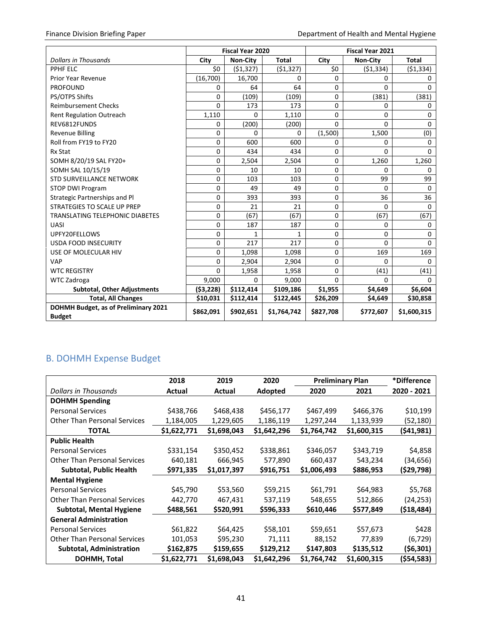|                                                       | <b>Fiscal Year 2020</b> |                 |              | <b>Fiscal Year 2021</b> |                 |              |  |
|-------------------------------------------------------|-------------------------|-----------------|--------------|-------------------------|-----------------|--------------|--|
| <b>Dollars in Thousands</b>                           | City                    | <b>Non-City</b> | <b>Total</b> | City                    | <b>Non-City</b> | <b>Total</b> |  |
| PPHF ELC                                              | \$0                     | (51, 327)       | (51, 327)    | \$0                     | ( \$1,334)      | (51, 334)    |  |
| Prior Year Revenue                                    | (16,700)                | 16,700          | $\Omega$     | $\Omega$                | 0               | 0            |  |
| <b>PROFOUND</b>                                       | 0                       | 64              | 64           | $\Omega$                | 0               | 0            |  |
| PS/OTPS Shifts                                        | 0                       | (109)           | (109)        | $\Omega$                | (381)           | (381)        |  |
| <b>Reimbursement Checks</b>                           | $\Omega$                | 173             | 173          | 0                       | 0               | 0            |  |
| <b>Rent Regulation Outreach</b>                       | 1,110                   | 0               | 1,110        | $\Omega$                | 0               | $\Omega$     |  |
| REV6812FUNDS                                          | 0                       | (200)           | (200)        | $\Omega$                | $\Omega$        | 0            |  |
| <b>Revenue Billing</b>                                | 0                       | 0               | $\Omega$     | (1,500)                 | 1,500           | (0)          |  |
| Roll from FY19 to FY20                                | 0                       | 600             | 600          | 0                       | 0               | 0            |  |
| Rx Stat                                               | 0                       | 434             | 434          | 0                       | 0               | $\Omega$     |  |
| SOMH 8/20/19 SAL FY20+                                | 0                       | 2,504           | 2,504        | $\Omega$                | 1,260           | 1,260        |  |
| SOMH SAL 10/15/19                                     | 0                       | 10              | 10           | 0                       | 0               | 0            |  |
| <b>STD SURVEILLANCE NETWORK</b>                       | 0                       | 103             | 103          | 0                       | 99              | 99           |  |
| <b>STOP DWI Program</b>                               | 0                       | 49              | 49           | 0                       | 0               | 0            |  |
| Strategic Partnerships and Pl                         | 0                       | 393             | 393          | 0                       | 36              | 36           |  |
| STRATEGIES TO SCALE UP PREP                           | 0                       | 21              | 21           | $\Omega$                | 0               | $\Omega$     |  |
| TRANSLATING TELEPHONIC DIABETES                       | 0                       | (67)            | (67)         | 0                       | (67)            | (67)         |  |
| UASI                                                  | 0                       | 187             | 187          | 0                       | 0               | $\Omega$     |  |
| UPFY20FELLOWS                                         | 0                       | 1               | 1            | $\Omega$                | 0               | $\Omega$     |  |
| <b>USDA FOOD INSECURITY</b>                           | 0                       | 217             | 217          | $\Omega$                | 0               | $\Omega$     |  |
| USE OF MOLECULAR HIV                                  | 0                       | 1,098           | 1,098        | $\Omega$                | 169             | 169          |  |
| <b>VAP</b>                                            | 0                       | 2,904           | 2,904        | 0                       | 0               | $\Omega$     |  |
| <b>WTC REGISTRY</b>                                   | 0                       | 1,958           | 1,958        | $\Omega$                | (41)            | (41)         |  |
| WTC Zadroga                                           | 9,000                   | 0               | 9,000        | $\Omega$                | $\Omega$        | <sup>n</sup> |  |
| <b>Subtotal, Other Adjustments</b>                    | (53, 228)               | \$112,414       | \$109,186    | \$1,955                 | \$4,649         | \$6,604      |  |
| <b>Total, All Changes</b>                             | \$10,031                | \$112,414       | \$122,445    | \$26,209                | \$4,649         | \$30,858     |  |
| DOHMH Budget, as of Preliminary 2021<br><b>Budget</b> | \$862,091               | \$902,651       | \$1,764,742  | \$827,708               | \$772,607       | \$1,600,315  |  |

# <span id="page-43-0"></span>B. DOHMH Expense Budget

|                                     | 2018        | 2019        | 2020        | <b>Preliminary Plan</b> |             | *Difference |
|-------------------------------------|-------------|-------------|-------------|-------------------------|-------------|-------------|
| Dollars in Thousands                | Actual      | Actual      | Adopted     | 2020                    | 2021        | 2020 - 2021 |
| <b>DOHMH Spending</b>               |             |             |             |                         |             |             |
| <b>Personal Services</b>            | \$438,766   | \$468,438   | \$456,177   | \$467,499               | \$466,376   | \$10,199    |
| <b>Other Than Personal Services</b> | 1,184,005   | 1,229,605   | 1,186,119   | 1,297,244               | 1,133,939   | (52, 180)   |
| <b>TOTAL</b>                        | \$1,622,771 | \$1,698,043 | \$1,642,296 | \$1,764,742             | \$1,600,315 | (\$41,981)  |
| <b>Public Health</b>                |             |             |             |                         |             |             |
| <b>Personal Services</b>            | \$331,154   | \$350,452   | \$338,861   | \$346,057               | \$343,719   | \$4,858     |
| <b>Other Than Personal Services</b> | 640,181     | 666,945     | 577,890     | 660,437                 | 543,234     | (34, 656)   |
| <b>Subtotal, Public Health</b>      | \$971,335   | \$1,017,397 | \$916,751   | \$1,006,493             | \$886,953   | (\$29,798)  |
| <b>Mental Hygiene</b>               |             |             |             |                         |             |             |
| <b>Personal Services</b>            | \$45,790    | \$53,560    | \$59,215    | \$61,791                | \$64,983    | \$5,768     |
| <b>Other Than Personal Services</b> | 442,770     | 467,431     | 537,119     | 548,655                 | 512,866     | (24, 253)   |
| Subtotal, Mental Hygiene            | \$488,561   | \$520,991   | \$596,333   | \$610,446               | \$577,849   | (\$18,484)  |
| <b>General Administration</b>       |             |             |             |                         |             |             |
| <b>Personal Services</b>            | \$61,822    | \$64,425    | \$58,101    | \$59,651                | \$57,673    | \$428       |
| <b>Other Than Personal Services</b> | 101,053     | \$95,230    | 71,111      | 88,152                  | 77,839      | (6, 729)    |
| <b>Subtotal, Administration</b>     | \$162,875   | \$159,655   | \$129,212   | \$147,803               | \$135,512   | (\$6,301)   |
| DOHMH, Total                        | \$1,622,771 | \$1,698,043 | \$1,642,296 | \$1,764,742             | \$1,600,315 | (\$54,583)  |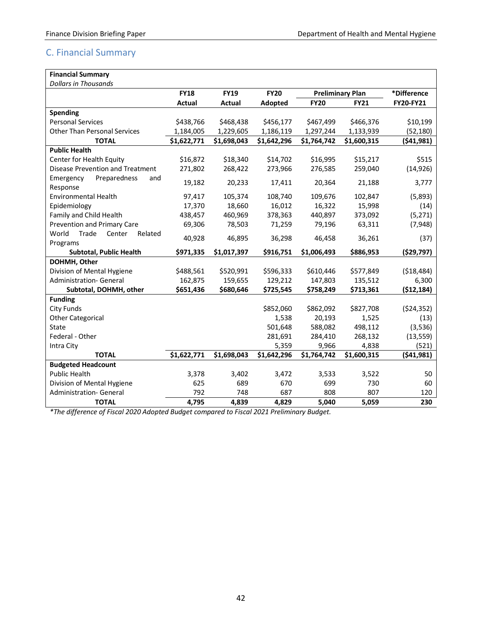# <span id="page-44-0"></span>C. Financial Summary

| <b>Financial Summary</b>                     |             |               |             |             |                         |              |
|----------------------------------------------|-------------|---------------|-------------|-------------|-------------------------|--------------|
| <b>Dollars in Thousands</b>                  |             |               |             |             |                         |              |
|                                              | <b>FY18</b> | <b>FY19</b>   | <b>FY20</b> |             | <b>Preliminary Plan</b> | *Difference  |
|                                              | Actual      | <b>Actual</b> | Adopted     | <b>FY20</b> | <b>FY21</b>             | FY20-FY21    |
| <b>Spending</b>                              |             |               |             |             |                         |              |
| <b>Personal Services</b>                     | \$438,766   | \$468,438     | \$456,177   | \$467,499   | \$466,376               | \$10,199     |
| <b>Other Than Personal Services</b>          | 1,184,005   | 1,229,605     | 1,186,119   | 1,297,244   | 1,133,939               | (52, 180)    |
| <b>TOTAL</b>                                 | \$1,622,771 | \$1,698,043   | \$1,642,296 | \$1,764,742 | \$1,600,315             | (541,981)    |
| <b>Public Health</b>                         |             |               |             |             |                         |              |
| Center for Health Equity                     | \$16,872    | \$18,340      | \$14,702    | \$16,995    | \$15,217                | \$515        |
| Disease Prevention and Treatment             | 271,802     | 268,422       | 273,966     | 276,585     | 259,040                 | (14, 926)    |
| Preparedness<br>Emergency<br>and<br>Response | 19,182      | 20,233        | 17,411      | 20,364      | 21,188                  | 3,777        |
| Environmental Health                         | 97,417      | 105,374       | 108,740     | 109,676     | 102,847                 | (5,893)      |
| Epidemiology                                 | 17,370      | 18,660        | 16,012      | 16,322      | 15,998                  | (14)         |
| Family and Child Health                      | 438,457     | 460,969       | 378,363     | 440,897     | 373,092                 | (5, 271)     |
| Prevention and Primary Care                  | 69,306      | 78,503        | 71,259      | 79,196      | 63,311                  | (7,948)      |
| World<br>Trade<br>Center<br>Related          |             |               |             |             |                         |              |
| Programs                                     | 40,928      | 46,895        | 36,298      | 46,458      | 36,261                  | (37)         |
| <b>Subtotal, Public Health</b>               | \$971,335   | \$1,017,397   | \$916,751   | \$1,006,493 | \$886,953               | ( \$29,797)  |
| DOHMH, Other                                 |             |               |             |             |                         |              |
| Division of Mental Hygiene                   | \$488,561   | \$520,991     | \$596,333   | \$610,446   | \$577,849               | (518, 484)   |
| <b>Administration- General</b>               | 162,875     | 159,655       | 129,212     | 147,803     | 135,512                 | 6,300        |
| Subtotal, DOHMH, other                       | \$651,436   | \$680,646     | \$725,545   | \$758,249   | \$713,361               | ( \$12, 184) |
| <b>Funding</b>                               |             |               |             |             |                         |              |
| <b>City Funds</b>                            |             |               | \$852,060   | \$862,092   | \$827,708               | (524, 352)   |
| <b>Other Categorical</b>                     |             |               | 1,538       | 20,193      | 1,525                   | (13)         |
| <b>State</b>                                 |             |               | 501,648     | 588,082     | 498,112                 | (3,536)      |
| Federal - Other                              |             |               | 281,691     | 284,410     | 268,132                 | (13, 559)    |
| Intra City                                   |             |               | 5,359       | 9,966       | 4,838                   | (521)        |
| <b>TOTAL</b>                                 | \$1,622,771 | \$1,698,043   | \$1,642,296 | \$1,764,742 | \$1,600,315             | (541, 981)   |
| <b>Budgeted Headcount</b>                    |             |               |             |             |                         |              |
| <b>Public Health</b>                         | 3,378       | 3,402         | 3,472       | 3,533       | 3,522                   | 50           |
| Division of Mental Hygiene                   | 625         | 689           | 670         | 699         | 730                     | 60           |
| <b>Administration- General</b>               | 792         | 748           | 687         | 808         | 807                     | 120          |
| <b>TOTAL</b>                                 | 4,795       | 4,839         | 4,829       | 5,040       | 5,059                   | 230          |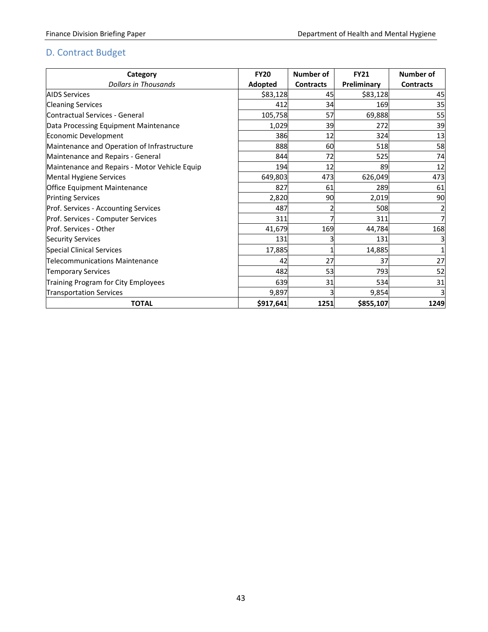# <span id="page-45-0"></span>D. Contract Budget

| Category                                      | <b>FY20</b> | Number of        | <b>FY21</b> | Number of        |
|-----------------------------------------------|-------------|------------------|-------------|------------------|
| <b>Dollars in Thousands</b>                   | Adopted     | <b>Contracts</b> | Preliminary | <b>Contracts</b> |
| <b>AIDS Services</b>                          | \$83,128    | 45               | \$83,128    | 45               |
| <b>Cleaning Services</b>                      | 412         | 34               | 169         | 35               |
| Contractual Services - General                | 105,758     | 57               | 69,888      | 55               |
| Data Processing Equipment Maintenance         | 1,029       | 39               | 272         | 39               |
| Economic Development                          | 386         | 12               | 324         | 13               |
| Maintenance and Operation of Infrastructure   | 888         | 60               | 518         | 58               |
| Maintenance and Repairs - General             | 844         | 72               | 525         | 74               |
| Maintenance and Repairs - Motor Vehicle Equip | 194         | 12               | 89          | 12               |
| Mental Hygiene Services                       | 649,803     | 473              | 626,049     | 473              |
| <b>Office Equipment Maintenance</b>           | 827         | 61               | 289         | 61               |
| <b>Printing Services</b>                      | 2,820       | 90               | 2,019       | 90               |
| Prof. Services - Accounting Services          | 487         |                  | 508         |                  |
| Prof. Services - Computer Services            | 311         |                  | 311         |                  |
| Prof. Services - Other                        | 41,679      | 169              | 44,784      | 168              |
| <b>Security Services</b>                      | 131         |                  | 131         |                  |
| Special Clinical Services                     | 17,885      |                  | 14,885      |                  |
| Telecommunications Maintenance                | 42          | 27               | 37          | 27               |
| <b>Temporary Services</b>                     | 482         | 53               | 793         | 52               |
| Training Program for City Employees           | 639         | 31               | 534         | 31               |
| <b>Transportation Services</b>                | 9,897       |                  | 9,854       | 3                |
| <b>TOTAL</b>                                  | \$917,641   | 1251             | \$855,107   | 1249             |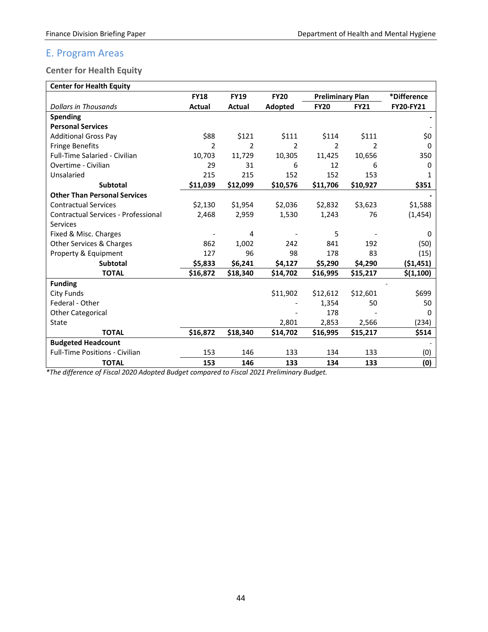# <span id="page-46-0"></span>E. Program Areas

## <span id="page-46-1"></span>**Center for Health Equity**

| <b>Center for Health Equity</b> |  |
|---------------------------------|--|

| <b>Center for Health Equity</b>            |             |             |               |                         |             |             |
|--------------------------------------------|-------------|-------------|---------------|-------------------------|-------------|-------------|
|                                            | <b>FY18</b> | <b>FY19</b> | <b>FY20</b>   | <b>Preliminary Plan</b> |             | *Difference |
| <b>Dollars in Thousands</b>                | Actual      | Actual      | Adopted       | <b>FY20</b>             | <b>FY21</b> | FY20-FY21   |
| <b>Spending</b>                            |             |             |               |                         |             |             |
| <b>Personal Services</b>                   |             |             |               |                         |             |             |
| <b>Additional Gross Pay</b>                | \$88        | \$121       | \$111         | \$114                   | \$111       | \$0         |
| <b>Fringe Benefits</b>                     | 2           | 2           | $\mathcal{P}$ | 2                       | 2           | O           |
| Full-Time Salaried - Civilian              | 10,703      | 11,729      | 10,305        | 11,425                  | 10,656      | 350         |
| Overtime - Civilian                        | 29          | 31          | 6             | 12                      | 6           | 0           |
| Unsalaried                                 | 215         | 215         | 152           | 152                     | 153         | 1           |
| <b>Subtotal</b>                            | \$11,039    | \$12,099    | \$10,576      | \$11,706                | \$10,927    | \$351       |
| <b>Other Than Personal Services</b>        |             |             |               |                         |             |             |
| <b>Contractual Services</b>                | \$2,130     | \$1,954     | \$2,036       | \$2,832                 | \$3,623     | \$1,588     |
| <b>Contractual Services - Professional</b> | 2,468       | 2,959       | 1,530         | 1,243                   | 76          | (1, 454)    |
| Services                                   |             |             |               |                         |             |             |
| Fixed & Misc. Charges                      |             | 4           |               | 5                       |             | 0           |
| Other Services & Charges                   | 862         | 1,002       | 242           | 841                     | 192         | (50)        |
| Property & Equipment                       | 127         | 96          | 98            | 178                     | 83          | (15)        |
| <b>Subtotal</b>                            | \$5,833     | \$6,241     | \$4,127       | \$5,290                 | \$4,290     | (51, 451)   |
| <b>TOTAL</b>                               | \$16,872    | \$18,340    | \$14,702      | \$16,995                | \$15,217    | \$(1,100)   |
| <b>Funding</b>                             |             |             |               |                         |             |             |
| <b>City Funds</b>                          |             |             | \$11,902      | \$12,612                | \$12,601    | \$699       |
| Federal - Other                            |             |             |               | 1,354                   | 50          | 50          |
| <b>Other Categorical</b>                   |             |             |               | 178                     |             | 0           |
| State                                      |             |             | 2,801         | 2,853                   | 2,566       | (234)       |
| <b>TOTAL</b>                               | \$16,872    | \$18,340    | \$14,702      | \$16,995                | \$15,217    | \$514       |
| <b>Budgeted Headcount</b>                  |             |             |               |                         |             |             |
| <b>Full-Time Positions - Civilian</b>      | 153         | 146         | 133           | 134                     | 133         | (0)         |
| <b>TOTAL</b>                               | 153         | 146         | 133           | 134                     | 133         | (0)         |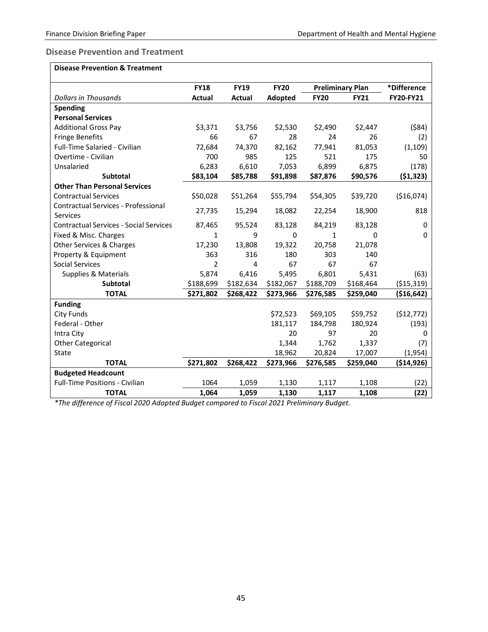#### <span id="page-47-0"></span>**Disease Prevention and Treatment**

#### **Disease Prevention & Treatment**

|                                               | <b>FY18</b>    | <b>FY19</b> | <b>FY20</b> |             | <b>Preliminary Plan</b> | *Difference      |
|-----------------------------------------------|----------------|-------------|-------------|-------------|-------------------------|------------------|
| <b>Dollars in Thousands</b>                   | <b>Actual</b>  | Actual      | Adopted     | <b>FY20</b> | <b>FY21</b>             | <b>FY20-FY21</b> |
| <b>Spending</b>                               |                |             |             |             |                         |                  |
| <b>Personal Services</b>                      |                |             |             |             |                         |                  |
| <b>Additional Gross Pay</b>                   | \$3,371        | \$3,756     | \$2,530     | \$2,490     | \$2,447                 | ( \$84)          |
| <b>Fringe Benefits</b>                        | 66             | 67          | 28          | 24          | 26                      | (2)              |
| Full-Time Salaried - Civilian                 | 72,684         | 74,370      | 82,162      | 77,941      | 81,053                  | (1, 109)         |
| Overtime - Civilian                           | 700            | 985         | 125         | 521         | 175                     | 50               |
| Unsalaried                                    | 6,283          | 6,610       | 7,053       | 6,899       | 6,875                   | (178)            |
| <b>Subtotal</b>                               | \$83,104       | \$85,788    | \$91,898    | \$87,876    | \$90,576                | ( \$1,323)       |
| <b>Other Than Personal Services</b>           |                |             |             |             |                         |                  |
| <b>Contractual Services</b>                   | \$50,028       | \$51,264    | \$55,794    | \$54,305    | \$39,720                | ( \$16,074)      |
| Contractual Services - Professional           | 27,735         | 15,294      | 18,082      | 22,254      | 18,900                  | 818              |
| Services                                      |                |             |             |             |                         |                  |
| <b>Contractual Services - Social Services</b> | 87,465         | 95,524      | 83,128      | 84,219      | 83,128                  | 0                |
| Fixed & Misc. Charges                         | 1              | 9           | 0           | 1           | 0                       | 0                |
| Other Services & Charges                      | 17,230         | 13,808      | 19,322      | 20,758      | 21,078                  |                  |
| Property & Equipment                          | 363            | 316         | 180         | 303         | 140                     |                  |
| Social Services                               | $\overline{2}$ | 4           | 67          | 67          | 67                      |                  |
| <b>Supplies &amp; Materials</b>               | 5,874          | 6,416       | 5,495       | 6,801       | 5,431                   | (63)             |
| <b>Subtotal</b>                               | \$188,699      | \$182,634   | \$182,067   | \$188,709   | \$168,464               | ( \$15,319)      |
| <b>TOTAL</b>                                  | \$271,802      | \$268,422   | \$273,966   | \$276,585   | \$259,040               | (\$16,642)       |
| <b>Funding</b>                                |                |             |             |             |                         |                  |
| <b>City Funds</b>                             |                |             | \$72,523    | \$69,105    | \$59,752                | (512, 772)       |
| Federal - Other                               |                |             | 181,117     | 184,798     | 180,924                 | (193)            |
| Intra City                                    |                |             | 20          | 97          | 20                      | 0                |
| <b>Other Categorical</b>                      |                |             | 1,344       | 1,762       | 1,337                   | (7)              |
| State                                         |                |             | 18,962      | 20,824      | 17,007                  | (1,954)          |
| <b>TOTAL</b>                                  | \$271,802      | \$268,422   | \$273,966   | \$276,585   | \$259,040               | ( \$14, 926)     |
| <b>Budgeted Headcount</b>                     |                |             |             |             |                         |                  |
| <b>Full-Time Positions - Civilian</b>         | 1064           | 1,059       | 1,130       | 1,117       | 1,108                   | (22)             |
| <b>TOTAL</b>                                  | 1,064          | 1,059       | 1,130       | 1,117       | 1,108                   | (22)             |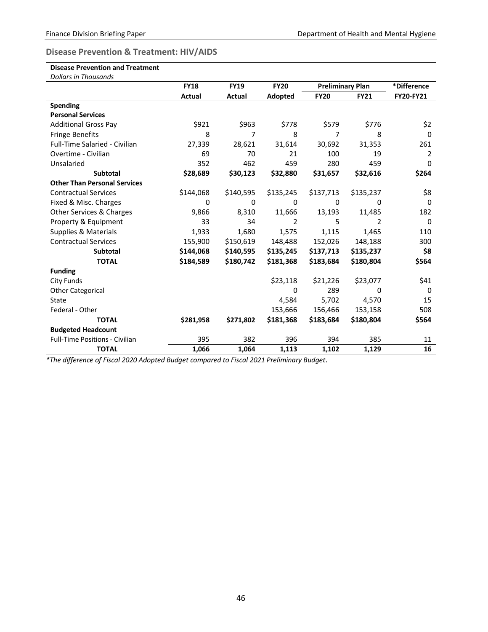#### <span id="page-48-0"></span>**Disease Prevention & Treatment: HIV/AIDS**

| <b>Disease Prevention and Treatment</b> |               |             |             |                         |             |                  |
|-----------------------------------------|---------------|-------------|-------------|-------------------------|-------------|------------------|
| <b>Dollars in Thousands</b>             |               |             |             |                         |             |                  |
|                                         | <b>FY18</b>   | <b>FY19</b> | <b>FY20</b> | <b>Preliminary Plan</b> |             | *Difference      |
|                                         | <b>Actual</b> | Actual      | Adopted     | <b>FY20</b>             | <b>FY21</b> | <b>FY20-FY21</b> |
| <b>Spending</b>                         |               |             |             |                         |             |                  |
| <b>Personal Services</b>                |               |             |             |                         |             |                  |
| <b>Additional Gross Pay</b>             | \$921         | \$963       | \$778       | \$579                   | \$776       | \$2              |
| <b>Fringe Benefits</b>                  | 8             | 7           | 8           | 7                       | 8           | $\Omega$         |
| Full-Time Salaried - Civilian           | 27,339        | 28,621      | 31,614      | 30,692                  | 31,353      | 261              |
| Overtime - Civilian                     | 69            | 70          | 21          | 100                     | 19          | 2                |
| Unsalaried                              | 352           | 462         | 459         | 280                     | 459         | 0                |
| <b>Subtotal</b>                         | \$28,689      | \$30,123    | \$32,880    | \$31,657                | \$32,616    | \$264            |
| <b>Other Than Personal Services</b>     |               |             |             |                         |             |                  |
| <b>Contractual Services</b>             | \$144,068     | \$140,595   | \$135,245   | \$137,713               | \$135,237   | \$8              |
| Fixed & Misc. Charges                   | 0             | 0           | 0           | 0                       | 0           | 0                |
| <b>Other Services &amp; Charges</b>     | 9,866         | 8,310       | 11,666      | 13,193                  | 11,485      | 182              |
| Property & Equipment                    | 33            | 34          | 2           | 5                       | 2           | 0                |
| <b>Supplies &amp; Materials</b>         | 1,933         | 1,680       | 1,575       | 1,115                   | 1,465       | 110              |
| <b>Contractual Services</b>             | 155,900       | \$150,619   | 148,488     | 152,026                 | 148,188     | 300              |
| <b>Subtotal</b>                         | \$144,068     | \$140,595   | \$135,245   | \$137,713               | \$135,237   | \$8              |
| <b>TOTAL</b>                            | \$184,589     | \$180,742   | \$181,368   | \$183,684               | \$180,804   | \$564            |
| <b>Funding</b>                          |               |             |             |                         |             |                  |
| <b>City Funds</b>                       |               |             | \$23,118    | \$21,226                | \$23,077    | \$41             |
| <b>Other Categorical</b>                |               |             | $\Omega$    | 289                     | $\Omega$    | 0                |
| State                                   |               |             | 4,584       | 5,702                   | 4,570       | 15               |
| Federal - Other                         |               |             | 153,666     | 156,466                 | 153,158     | 508              |
| <b>TOTAL</b>                            | \$281,958     | \$271,802   | \$181,368   | \$183,684               | \$180,804   | \$564            |
| <b>Budgeted Headcount</b>               |               |             |             |                         |             |                  |
| Full-Time Positions - Civilian          | 395           | 382         | 396         | 394                     | 385         | 11               |
| <b>TOTAL</b>                            | 1,066         | 1,064       | 1,113       | 1,102                   | 1,129       | 16               |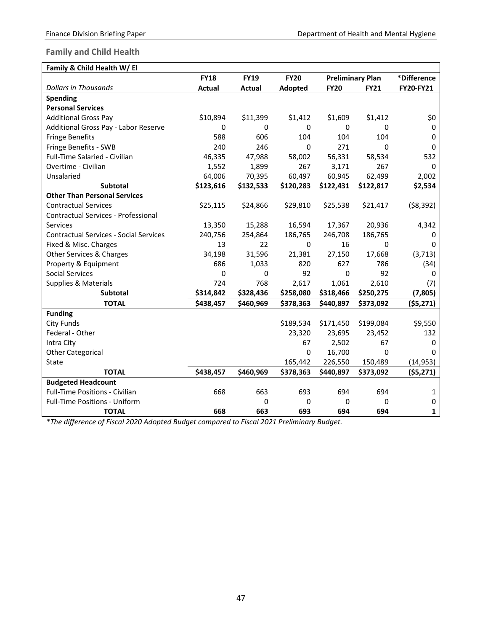#### <span id="page-49-0"></span>**Family and Child Health**

| Family & Child Health W/ El                   |               |               |                |             |                         |             |
|-----------------------------------------------|---------------|---------------|----------------|-------------|-------------------------|-------------|
|                                               | <b>FY18</b>   | <b>FY19</b>   | <b>FY20</b>    |             | <b>Preliminary Plan</b> | *Difference |
| <b>Dollars in Thousands</b>                   | <b>Actual</b> | <b>Actual</b> | <b>Adopted</b> | <b>FY20</b> | <b>FY21</b>             | FY20-FY21   |
| <b>Spending</b>                               |               |               |                |             |                         |             |
| <b>Personal Services</b>                      |               |               |                |             |                         |             |
| <b>Additional Gross Pay</b>                   | \$10,894      | \$11,399      | \$1,412        | \$1,609     | \$1,412                 | \$0         |
| Additional Gross Pay - Labor Reserve          | 0             | 0             | 0              | 0           | 0                       | 0           |
| <b>Fringe Benefits</b>                        | 588           | 606           | 104            | 104         | 104                     | 0           |
| Fringe Benefits - SWB                         | 240           | 246           | 0              | 271         | $\mathbf{0}$            | 0           |
| Full-Time Salaried - Civilian                 | 46,335        | 47,988        | 58,002         | 56,331      | 58,534                  | 532         |
| Overtime - Civilian                           | 1,552         | 1,899         | 267            | 3,171       | 267                     | 0           |
| Unsalaried                                    | 64,006        | 70,395        | 60,497         | 60,945      | 62,499                  | 2,002       |
| <b>Subtotal</b>                               | \$123,616     | \$132,533     | \$120,283      | \$122,431   | \$122,817               | \$2,534     |
| <b>Other Than Personal Services</b>           |               |               |                |             |                         |             |
| <b>Contractual Services</b>                   | \$25,115      | \$24,866      | \$29,810       | \$25,538    | \$21,417                | ( \$8,392)  |
| Contractual Services - Professional           |               |               |                |             |                         |             |
| <b>Services</b>                               | 13,350        | 15,288        | 16,594         | 17,367      | 20,936                  | 4,342       |
| <b>Contractual Services - Social Services</b> | 240,756       | 254,864       | 186,765        | 246,708     | 186,765                 | 0           |
| Fixed & Misc. Charges                         | 13            | 22            | 0              | 16          | 0                       | 0           |
| Other Services & Charges                      | 34,198        | 31,596        | 21,381         | 27,150      | 17,668                  | (3, 713)    |
| Property & Equipment                          | 686           | 1,033         | 820            | 627         | 786                     | (34)        |
| <b>Social Services</b>                        | 0             | 0             | 92             | 0           | 92                      | 0           |
| Supplies & Materials                          | 724           | 768           | 2,617          | 1,061       | 2,610                   | (7)         |
| Subtotal                                      | \$314,842     | \$328,436     | \$258,080      | \$318,466   | \$250,275               | (7, 805)    |
| <b>TOTAL</b>                                  | \$438,457     | \$460,969     | \$378,363      | \$440,897   | \$373,092               | (55, 271)   |
| <b>Funding</b>                                |               |               |                |             |                         |             |
| <b>City Funds</b>                             |               |               | \$189,534      | \$171,450   | \$199,084               | \$9,550     |
| Federal - Other                               |               |               | 23,320         | 23,695      | 23,452                  | 132         |
| Intra City                                    |               |               | 67             | 2,502       | 67                      | 0           |
| <b>Other Categorical</b>                      |               |               | 0              | 16,700      | $\mathbf 0$             | 0           |
| State                                         |               |               | 165,442        | 226,550     | 150,489                 | (14, 953)   |
| <b>TOTAL</b>                                  | \$438,457     | \$460,969     | \$378,363      | \$440,897   | \$373,092               | (55, 271)   |
| <b>Budgeted Headcount</b>                     |               |               |                |             |                         |             |
| <b>Full-Time Positions - Civilian</b>         | 668           | 663           | 693            | 694         | 694                     | 1           |
| Full-Time Positions - Uniform                 |               | 0             | 0              | 0           | 0                       | 0           |
| <b>TOTAL</b>                                  | 668           | 663           | 693            | 694         | 694                     | 1           |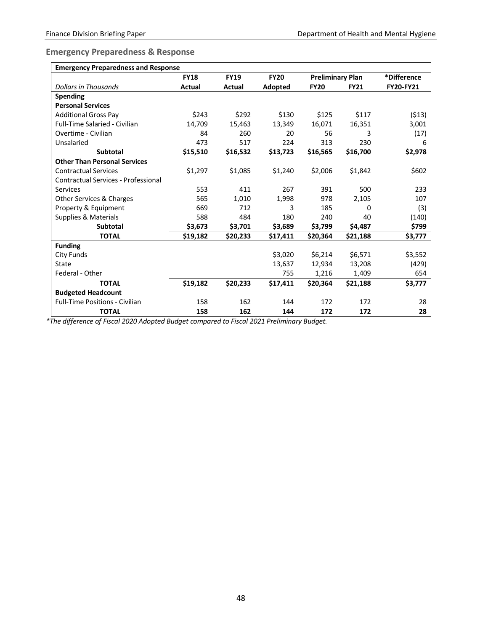### <span id="page-50-0"></span>**Emergency Preparedness & Response**

| <b>Emergency Preparedness and Response</b> |             |             |             |                         |             |                  |  |  |
|--------------------------------------------|-------------|-------------|-------------|-------------------------|-------------|------------------|--|--|
|                                            | <b>FY18</b> | <b>FY19</b> | <b>FY20</b> | <b>Preliminary Plan</b> |             | *Difference      |  |  |
| Dollars in Thousands                       | Actual      | Actual      | Adopted     | <b>FY20</b>             | <b>FY21</b> | <b>FY20-FY21</b> |  |  |
| Spending                                   |             |             |             |                         |             |                  |  |  |
| <b>Personal Services</b>                   |             |             |             |                         |             |                  |  |  |
| <b>Additional Gross Pay</b>                | \$243       | \$292       | \$130       | \$125                   | \$117       | (513)            |  |  |
| <b>Full-Time Salaried - Civilian</b>       | 14,709      | 15,463      | 13,349      | 16,071                  | 16,351      | 3,001            |  |  |
| Overtime - Civilian                        | 84          | 260         | 20          | 56                      | 3           | (17)             |  |  |
| Unsalaried                                 | 473         | 517         | 224         | 313                     | 230         | 6                |  |  |
| <b>Subtotal</b>                            | \$15,510    | \$16,532    | \$13,723    | \$16,565                | \$16,700    | \$2,978          |  |  |
| <b>Other Than Personal Services</b>        |             |             |             |                         |             |                  |  |  |
| <b>Contractual Services</b>                | \$1,297     | \$1,085     | \$1,240     | \$2,006                 | \$1,842     | \$602            |  |  |
| Contractual Services - Professional        |             |             |             |                         |             |                  |  |  |
| Services                                   | 553         | 411         | 267         | 391                     | 500         | 233              |  |  |
| Other Services & Charges                   | 565         | 1,010       | 1,998       | 978                     | 2,105       | 107              |  |  |
| Property & Equipment                       | 669         | 712         | 3           | 185                     | 0           | (3)              |  |  |
| Supplies & Materials                       | 588         | 484         | 180         | 240                     | 40          | (140)            |  |  |
| <b>Subtotal</b>                            | \$3,673     | \$3,701     | \$3,689     | \$3,799                 | \$4,487     | \$799            |  |  |
| <b>TOTAL</b>                               | \$19,182    | \$20,233    | \$17,411    | \$20,364                | \$21,188    | \$3,777          |  |  |
| <b>Funding</b>                             |             |             |             |                         |             |                  |  |  |
| <b>City Funds</b>                          |             |             | \$3,020     | \$6,214                 | \$6,571     | \$3,552          |  |  |
| State                                      |             |             | 13,637      | 12,934                  | 13,208      | (429)            |  |  |
| Federal - Other                            |             |             | 755         | 1,216                   | 1,409       | 654              |  |  |
| <b>TOTAL</b>                               | \$19,182    | \$20,233    | \$17,411    | \$20,364                | \$21,188    | \$3,777          |  |  |
| <b>Budgeted Headcount</b>                  |             |             |             |                         |             |                  |  |  |
| <b>Full-Time Positions - Civilian</b>      | 158         | 162         | 144         | 172                     | 172         | 28               |  |  |
| <b>TOTAL</b>                               | 158         | 162         | 144         | 172                     | 172         | 28               |  |  |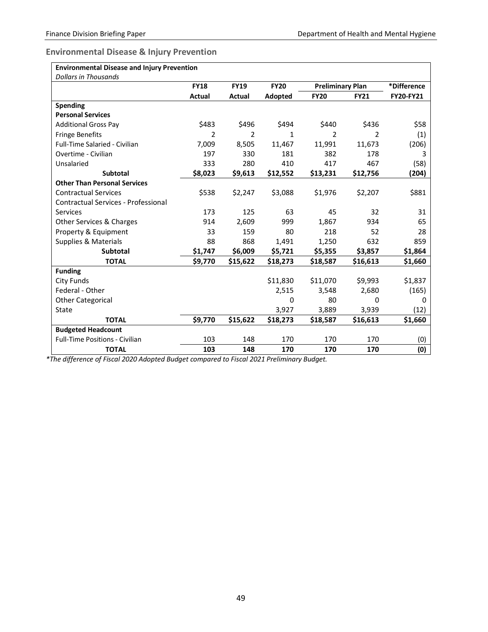<span id="page-51-0"></span>**Environmental Disease & Injury Prevention**

| <b>Environmental Disease and Injury Prevention</b> |             |             |             |                         |             |             |
|----------------------------------------------------|-------------|-------------|-------------|-------------------------|-------------|-------------|
| <b>Dollars in Thousands</b>                        |             |             |             |                         |             |             |
|                                                    | <b>FY18</b> | <b>FY19</b> | <b>FY20</b> | <b>Preliminary Plan</b> |             | *Difference |
|                                                    | Actual      | Actual      | Adopted     | <b>FY20</b>             | <b>FY21</b> | FY20-FY21   |
| Spending                                           |             |             |             |                         |             |             |
| <b>Personal Services</b>                           |             |             |             |                         |             |             |
| <b>Additional Gross Pay</b>                        | \$483       | \$496       | \$494       | \$440                   | \$436       | \$58        |
| <b>Fringe Benefits</b>                             | 2           | 2           | 1           | 2                       | 2           | (1)         |
| Full-Time Salaried - Civilian                      | 7,009       | 8,505       | 11,467      | 11,991                  | 11,673      | (206)       |
| Overtime - Civilian                                | 197         | 330         | 181         | 382                     | 178         | 3           |
| Unsalaried                                         | 333         | 280         | 410         | 417                     | 467         | (58)        |
| <b>Subtotal</b>                                    | \$8,023     | \$9,613     | \$12,552    | \$13,231                | \$12,756    | (204)       |
| <b>Other Than Personal Services</b>                |             |             |             |                         |             |             |
| <b>Contractual Services</b>                        | \$538       | \$2,247     | \$3,088     | \$1,976                 | \$2,207     | \$881       |
| Contractual Services - Professional                |             |             |             |                         |             |             |
| <b>Services</b>                                    | 173         | 125         | 63          | 45                      | 32          | 31          |
| Other Services & Charges                           | 914         | 2,609       | 999         | 1,867                   | 934         | 65          |
| Property & Equipment                               | 33          | 159         | 80          | 218                     | 52          | 28          |
| Supplies & Materials                               | 88          | 868         | 1,491       | 1,250                   | 632         | 859         |
| <b>Subtotal</b>                                    | \$1,747     | \$6,009     | \$5,721     | \$5,355                 | \$3,857     | \$1,864     |
| <b>TOTAL</b>                                       | \$9,770     | \$15,622    | \$18,273    | \$18,587                | \$16,613    | \$1,660     |
| <b>Funding</b>                                     |             |             |             |                         |             |             |
| City Funds                                         |             |             | \$11,830    | \$11,070                | \$9,993     | \$1,837     |
| Federal - Other                                    |             |             | 2,515       | 3,548                   | 2,680       | (165)       |
| <b>Other Categorical</b>                           |             |             | 0           | 80                      | 0           | 0           |
| State                                              |             |             | 3,927       | 3,889                   | 3,939       | (12)        |
| <b>TOTAL</b>                                       | \$9,770     | \$15,622    | \$18,273    | \$18,587                | \$16,613    | \$1,660     |
| <b>Budgeted Headcount</b>                          |             |             |             |                         |             |             |
| <b>Full-Time Positions - Civilian</b>              | 103         | 148         | 170         | 170                     | 170         | (0)         |
| <b>TOTAL</b>                                       | 103         | 148         | 170         | 170                     | 170         | (0)         |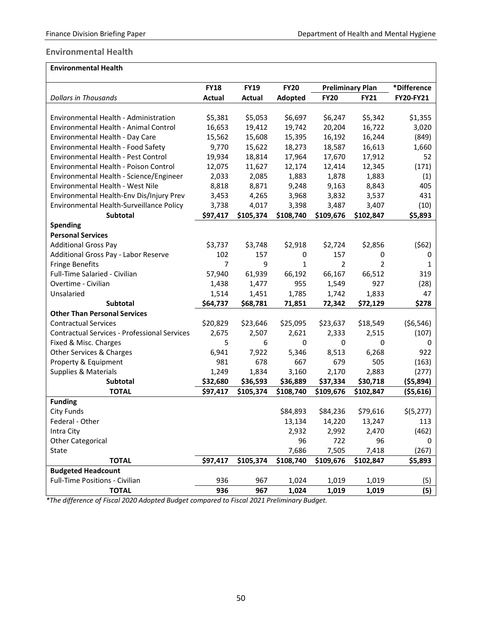#### <span id="page-52-0"></span>**Environmental Health**

| <b>Environmental Health</b> |  |
|-----------------------------|--|
|                             |  |

|                                                     | <b>FY18</b>   | <b>FY19</b> | <b>FY20</b> |                | <b>Preliminary Plan</b> |            |
|-----------------------------------------------------|---------------|-------------|-------------|----------------|-------------------------|------------|
| <b>Dollars in Thousands</b>                         | <b>Actual</b> | Actual      | Adopted     | <b>FY20</b>    | <b>FY21</b>             | FY20-FY21  |
|                                                     |               |             |             |                |                         |            |
| Environmental Health - Administration               | \$5,381       | \$5,053     | \$6,697     | \$6,247        | \$5,342                 | \$1,355    |
| Environmental Health - Animal Control               | 16,653        | 19,412      | 19,742      | 20,204         | 16,722                  | 3,020      |
| Environmental Health - Day Care                     | 15,562        | 15,608      | 15,395      | 16,192         | 16,244                  | (849)      |
| Environmental Health - Food Safety                  | 9,770         | 15,622      | 18,273      | 18,587         | 16,613                  | 1,660      |
| Environmental Health - Pest Control                 | 19,934        | 18,814      | 17,964      | 17,670         | 17,912                  | 52         |
| Environmental Health - Poison Control               | 12,075        | 11,627      | 12,174      | 12,414         | 12,345                  | (171)      |
| Environmental Health - Science/Engineer             | 2,033         | 2,085       | 1,883       | 1,878          | 1,883                   | (1)        |
| Environmental Health - West Nile                    | 8,818         | 8,871       | 9,248       | 9,163          | 8,843                   | 405        |
| Environmental Health-Env Dis/Injury Prev            | 3,453         | 4,265       | 3,968       | 3,832          | 3,537                   | 431        |
| Environmental Health-Surveillance Policy            | 3,738         | 4,017       | 3,398       | 3,487          | 3,407                   | (10)       |
| Subtotal                                            | \$97,417      | \$105,374   | \$108,740   | \$109,676      | \$102,847               | \$5,893    |
| <b>Spending</b>                                     |               |             |             |                |                         |            |
| <b>Personal Services</b>                            |               |             |             |                |                         |            |
| <b>Additional Gross Pay</b>                         | \$3,737       | \$3,748     | \$2,918     | \$2,724        | \$2,856                 | (562)      |
| Additional Gross Pay - Labor Reserve                | 102           | 157         | 0           | 157            | 0                       | 0          |
| <b>Fringe Benefits</b>                              | 7             | 9           | 1           | $\overline{2}$ | $\overline{2}$          | 1          |
| Full-Time Salaried - Civilian                       | 57,940        | 61,939      | 66,192      | 66,167         | 66,512                  | 319        |
| Overtime - Civilian                                 | 1,438         | 1,477       | 955         | 1,549          | 927                     | (28)       |
| Unsalaried                                          | 1,514         | 1,451       | 1,785       | 1,742          | 1,833                   | 47         |
| Subtotal                                            | \$64,737      | \$68,781    | 71,851      | 72,342         | \$72,129                | \$278      |
| <b>Other Than Personal Services</b>                 |               |             |             |                |                         |            |
| <b>Contractual Services</b>                         | \$20,829      | \$23,646    | \$25,095    | \$23,637       | \$18,549                | ( \$6,546) |
| <b>Contractual Services - Professional Services</b> | 2,675         | 2,507       | 2,621       | 2,333          | 2,515                   | (107)      |
| Fixed & Misc. Charges                               | 5             | 6           | 0           | 0              | 0                       | 0          |
| Other Services & Charges                            | 6,941         | 7,922       | 5,346       | 8,513          | 6,268                   | 922        |
| Property & Equipment                                | 981           | 678         | 667         | 679            | 505                     | (163)      |
| <b>Supplies &amp; Materials</b>                     | 1,249         | 1,834       | 3,160       | 2,170          | 2,883                   | (277)      |
| Subtotal                                            | \$32,680      | \$36,593    | \$36,889    | \$37,334       | \$30,718                | ( \$5,894) |
| <b>TOTAL</b>                                        | \$97,417      | \$105,374   | \$108,740   | \$109,676      | \$102,847               | ( \$5,616) |
| <b>Funding</b>                                      |               |             |             |                |                         |            |
| <b>City Funds</b>                                   |               |             | \$84,893    | \$84,236       | \$79,616                | \$(5,277)  |
| Federal - Other                                     |               |             | 13,134      | 14,220         | 13,247                  | 113        |
| Intra City                                          |               |             | 2,932       | 2,992          | 2,470                   | (462)      |
| <b>Other Categorical</b>                            |               |             | 96          | 722            | 96                      | 0          |
| State                                               |               |             | 7,686       | 7,505          | 7,418                   | (267)      |
| <b>TOTAL</b>                                        | \$97,417      | \$105,374   | \$108,740   | \$109,676      | \$102,847               | \$5,893    |
| <b>Budgeted Headcount</b>                           |               |             |             |                |                         |            |
| Full-Time Positions - Civilian                      | 936           | 967         | 1,024       | 1,019          | 1,019                   | (5)        |
| <b>TOTAL</b>                                        | 936           | 967         | 1,024       | 1,019          | 1,019                   | (5)        |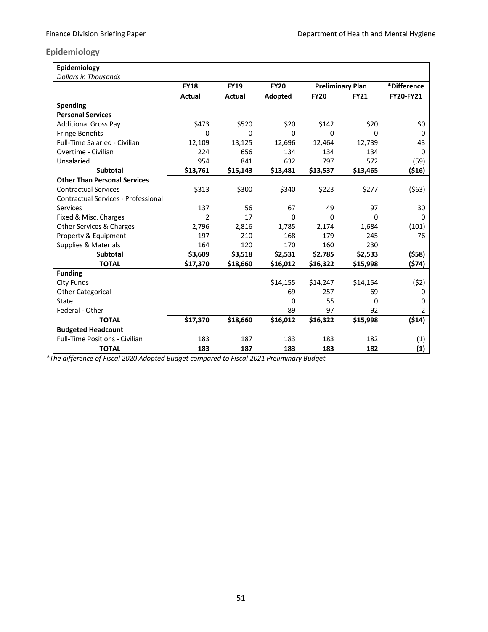#### <span id="page-53-0"></span>**Epidemiology**

| Epidemiology                               |                |             |             |                         |             |                  |
|--------------------------------------------|----------------|-------------|-------------|-------------------------|-------------|------------------|
| <b>Dollars in Thousands</b>                |                |             |             |                         |             |                  |
|                                            | <b>FY18</b>    | <b>FY19</b> | <b>FY20</b> | <b>Preliminary Plan</b> |             | *Difference      |
|                                            | Actual         | Actual      | Adopted     | <b>FY20</b>             | <b>FY21</b> | <b>FY20-FY21</b> |
| <b>Spending</b>                            |                |             |             |                         |             |                  |
| <b>Personal Services</b>                   |                |             |             |                         |             |                  |
| <b>Additional Gross Pay</b>                | \$473          | \$520       | \$20        | \$142                   | \$20        | \$0              |
| <b>Fringe Benefits</b>                     | 0              | 0           | 0           | 0                       | 0           | 0                |
| <b>Full-Time Salaried - Civilian</b>       | 12,109         | 13,125      | 12,696      | 12,464                  | 12,739      | 43               |
| Overtime - Civilian                        | 224            | 656         | 134         | 134                     | 134         | 0                |
| Unsalaried                                 | 954            | 841         | 632         | 797                     | 572         | (59)             |
| Subtotal                                   | \$13,761       | \$15,143    | \$13,481    | \$13,537                | \$13,465    | ( \$16)          |
| <b>Other Than Personal Services</b>        |                |             |             |                         |             |                  |
| <b>Contractual Services</b>                | \$313          | \$300       | \$340       | \$223                   | \$277       | (563)            |
| <b>Contractual Services - Professional</b> |                |             |             |                         |             |                  |
| Services                                   | 137            | 56          | 67          | 49                      | 97          | 30               |
| Fixed & Misc. Charges                      | $\overline{2}$ | 17          | $\Omega$    | 0                       | 0           | 0                |
| Other Services & Charges                   | 2,796          | 2,816       | 1,785       | 2,174                   | 1,684       | (101)            |
| Property & Equipment                       | 197            | 210         | 168         | 179                     | 245         | 76               |
| <b>Supplies &amp; Materials</b>            | 164            | 120         | 170         | 160                     | 230         |                  |
| <b>Subtotal</b>                            | \$3,609        | \$3,518     | \$2,531     | \$2,785                 | \$2,533     | (558)            |
| <b>TOTAL</b>                               | \$17,370       | \$18,660    | \$16,012    | \$16,322                | \$15,998    | (574)            |
| <b>Funding</b>                             |                |             |             |                         |             |                  |
| <b>City Funds</b>                          |                |             | \$14,155    | \$14,247                | \$14,154    | (52)             |
| <b>Other Categorical</b>                   |                |             | 69          | 257                     | 69          | 0                |
| <b>State</b>                               |                |             | 0           | 55                      | $\Omega$    | 0                |
| Federal - Other                            |                |             | 89          | 97                      | 92          | $\overline{2}$   |
| <b>TOTAL</b>                               | \$17,370       | \$18,660    | \$16,012    | \$16,322                | \$15,998    | (514)            |
| <b>Budgeted Headcount</b>                  |                |             |             |                         |             |                  |
| <b>Full-Time Positions - Civilian</b>      | 183            | 187         | 183         | 183                     | 182         | (1)              |
| <b>TOTAL</b>                               | 183            | 187         | 183         | 183                     | 182         | (1)              |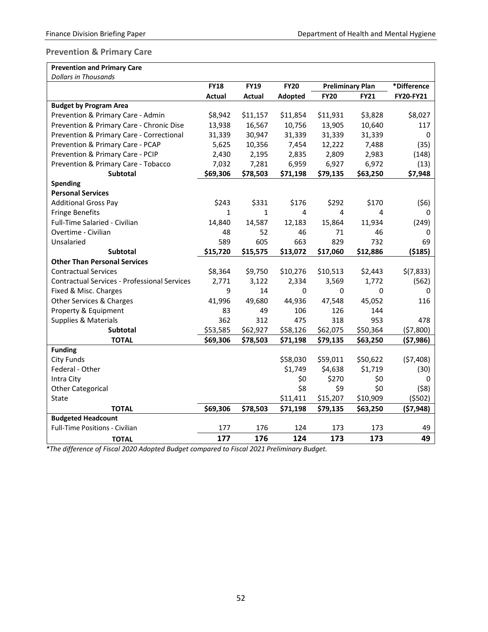#### <span id="page-54-0"></span>**Prevention & Primary Care**

| <b>Prevention and Primary Care</b>                  |               |               |             |                         |             |             |
|-----------------------------------------------------|---------------|---------------|-------------|-------------------------|-------------|-------------|
| <b>Dollars in Thousands</b>                         |               |               |             |                         |             |             |
|                                                     | <b>FY18</b>   | <b>FY19</b>   | <b>FY20</b> | <b>Preliminary Plan</b> |             | *Difference |
|                                                     | <b>Actual</b> | <b>Actual</b> | Adopted     | <b>FY20</b>             | <b>FY21</b> | FY20-FY21   |
| <b>Budget by Program Area</b>                       |               |               |             |                         |             |             |
| Prevention & Primary Care - Admin                   | \$8,942       | \$11,157      | \$11,854    | \$11,931                | \$3,828     | \$8,027     |
| Prevention & Primary Care - Chronic Dise            | 13,938        | 16,567        | 10,756      | 13,905                  | 10,640      | 117         |
| Prevention & Primary Care - Correctional            | 31,339        | 30,947        | 31,339      | 31,339                  | 31,339      | 0           |
| Prevention & Primary Care - PCAP                    | 5,625         | 10,356        | 7,454       | 12,222                  | 7,488       | (35)        |
| Prevention & Primary Care - PCIP                    | 2,430         | 2,195         | 2,835       | 2,809                   | 2,983       | (148)       |
| Prevention & Primary Care - Tobacco                 | 7,032         | 7,281         | 6,959       | 6,927                   | 6,972       | (13)        |
| <b>Subtotal</b>                                     | \$69,306      | \$78,503      | \$71,198    | \$79,135                | \$63,250    | \$7,948     |
| <b>Spending</b>                                     |               |               |             |                         |             |             |
| <b>Personal Services</b>                            |               |               |             |                         |             |             |
| <b>Additional Gross Pay</b>                         | \$243         | \$331         | \$176       | \$292                   | \$170       | (56)        |
| <b>Fringe Benefits</b>                              | $\mathbf{1}$  | $\mathbf{1}$  | 4           | 4                       | 4           | 0           |
| Full-Time Salaried - Civilian                       | 14,840        | 14,587        | 12,183      | 15,864                  | 11,934      | (249)       |
| Overtime - Civilian                                 | 48            | 52            | 46          | 71                      | 46          | 0           |
| Unsalaried                                          | 589           | 605           | 663         | 829                     | 732         | 69          |
| <b>Subtotal</b>                                     | \$15,720      | \$15,575      | \$13,072    | \$17,060                | \$12,886    | ( \$185)    |
| <b>Other Than Personal Services</b>                 |               |               |             |                         |             |             |
| <b>Contractual Services</b>                         | \$8,364       | \$9,750       | \$10,276    | \$10,513                | \$2,443     | \$(7,833)   |
| <b>Contractual Services - Professional Services</b> | 2,771         | 3,122         | 2,334       | 3,569                   | 1,772       | (562)       |
| Fixed & Misc. Charges                               | 9             | 14            | 0           | 0                       | 0           | 0           |
| Other Services & Charges                            | 41,996        | 49,680        | 44,936      | 47,548                  | 45,052      | 116         |
| Property & Equipment                                | 83            | 49            | 106         | 126                     | 144         |             |
| Supplies & Materials                                | 362           | 312           | 475         | 318                     | 953         | 478         |
| Subtotal                                            | \$53,585      | \$62,927      | \$58,126    | \$62,075                | \$50,364    | (57,800)    |
| <b>TOTAL</b>                                        | \$69,306      | \$78,503      | \$71,198    | \$79,135                | \$63,250    | ( \$7,986)  |
| <b>Funding</b>                                      |               |               |             |                         |             |             |
| <b>City Funds</b>                                   |               |               | \$58,030    | \$59,011                | \$50,622    | (57, 408)   |
| Federal - Other                                     |               |               | \$1,749     | \$4,638                 | \$1,719     | (30)        |
| Intra City                                          |               |               | \$0         | \$270                   | \$0         | 0           |
| <b>Other Categorical</b>                            |               |               | \$8         | \$9                     | \$0         | (58)        |
| State                                               |               |               | \$11,411    | \$15,207                | \$10,909    | (5502)      |
| <b>TOTAL</b>                                        | \$69,306      | \$78,503      | \$71,198    | \$79,135                | \$63,250    | ( \$7,948)  |
| <b>Budgeted Headcount</b>                           |               |               |             |                         |             |             |
| Full-Time Positions - Civilian                      | 177           | 176           | 124         | 173                     | 173         | 49          |
| <b>TOTAL</b>                                        | 177           | 176           | 124         | 173                     | 173         | 49          |